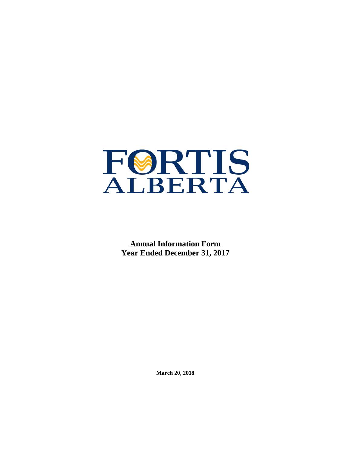

**Annual Information Form Year Ended December 31, 2017**

**March 20, 2018**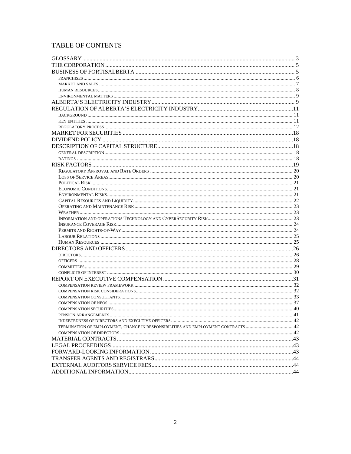# TABLE OF CONTENTS

| TERMINATION OF EMPLOYMENT, CHANGE IN RESPONSIBILITIES AND EMPLOYMENT CONTRACTS 42 |  |
|-----------------------------------------------------------------------------------|--|
|                                                                                   |  |
|                                                                                   |  |
|                                                                                   |  |
|                                                                                   |  |
|                                                                                   |  |
|                                                                                   |  |
|                                                                                   |  |
|                                                                                   |  |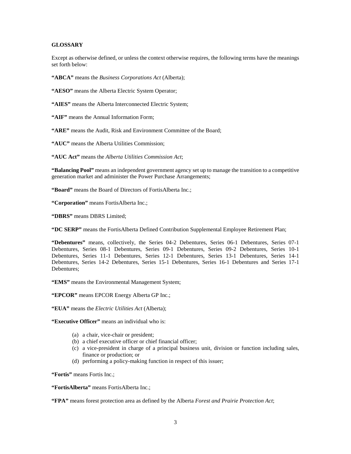# <span id="page-2-0"></span>**GLOSSARY**

Except as otherwise defined, or unless the context otherwise requires, the following terms have the meanings set forth below:

**"ABCA"** means the *Business Corporations Act* (Alberta);

**"AESO"** means the Alberta Electric System Operator;

**"AIES"** means the Alberta Interconnected Electric System;

**"AIF"** means the Annual Information Form;

**"ARE"** means the Audit, Risk and Environment Committee of the Board;

**"AUC"** means the Alberta Utilities Commission;

**"AUC Act"** means the *Alberta Utilities Commission Act*;

**"Balancing Pool"** means an independent government agency set up to manage the transition to a competitive generation market and administer the Power Purchase Arrangements;

**"Board"** means the Board of Directors of FortisAlberta Inc.;

**"Corporation"** means FortisAlberta Inc.;

**"DBRS"** means DBRS Limited;

**"DC SERP"** means the FortisAlberta Defined Contribution Supplemental Employee Retirement Plan;

**"Debentures"** means, collectively, the Series 04-2 Debentures, Series 06-1 Debentures, Series 07-1 Debentures, Series 08-1 Debentures, Series 09-1 Debentures, Series 09-2 Debentures, Series 10-1 Debentures, Series 11-1 Debentures, Series 12-1 Debentures, Series 13-1 Debentures, Series 14-1 Debentures, Series 14-2 Debentures, Series 15-1 Debentures, Series 16-1 Debentures and Series 17-1 Debentures;

**"EMS"** means the Environmental Management System;

**"EPCOR"** means EPCOR Energy Alberta GP Inc.;

**"EUA"** means the *Electric Utilities Act* (Alberta);

**"Executive Officer"** means an individual who is:

- (a) a chair, vice-chair or president;
- (b) a chief executive officer or chief financial officer;
- (c) a vice-president in charge of a principal business unit, division or function including sales, finance or production; or
- (d) performing a policy-making function in respect of this issuer;

**"Fortis"** means Fortis Inc.;

**"FortisAlberta"** means FortisAlberta Inc.;

**"FPA"** means forest protection area as defined by the Alberta *Forest and Prairie Protection Act*;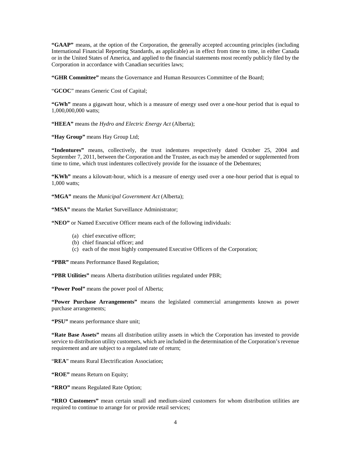**"GAAP"** means, at the option of the Corporation, the generally accepted accounting principles (including International Financial Reporting Standards, as applicable) as in effect from time to time, in either Canada or in the United States of America, and applied to the financial statements most recently publicly filed by the Corporation in accordance with Canadian securities laws;

**"GHR Committee"** means the Governance and Human Resources Committee of the Board;

"**GCOC**" means Generic Cost of Capital;

**"GWh"** means a gigawatt hour, which is a measure of energy used over a one-hour period that is equal to 1,000,000,000 watts;

**"HEEA"** means the *Hydro and Electric Energy Act* (Alberta);

**"Hay Group"** means Hay Group Ltd;

**"Indentures"** means, collectively, the trust indentures respectively dated October 25, 2004 and September 7, 2011, between the Corporation and the Trustee, as each may be amended or supplemented from time to time, which trust indentures collectively provide for the issuance of the Debentures;

**"KWh"** means a kilowatt-hour, which is a measure of energy used over a one-hour period that is equal to 1,000 watts;

**"MGA"** means the *Municipal Government Act* (Alberta);

**"MSA"** means the Market Surveillance Administrator;

**"NEO"** or Named Executive Officer means each of the following individuals:

- (a) chief executive officer;
- (b) chief financial officer; and
- (c) each of the most highly compensated Executive Officers of the Corporation;

**"PBR"** means Performance Based Regulation;

**"PBR Utilities"** means Alberta distribution utilities regulated under PBR;

**"Power Pool"** means the power pool of Alberta;

**"Power Purchase Arrangements"** means the legislated commercial arrangements known as power purchase arrangements;

**"PSU"** means performance share unit;

**"Rate Base Assets"** means all distribution utility assets in which the Corporation has invested to provide service to distribution utility customers, which are included in the determination of the Corporation's revenue requirement and are subject to a regulated rate of return;

"**REA**" means Rural Electrification Association;

**"ROE"** means Return on Equity;

**"RRO"** means Regulated Rate Option;

**"RRO Customers"** mean certain small and medium-sized customers for whom distribution utilities are required to continue to arrange for or provide retail services;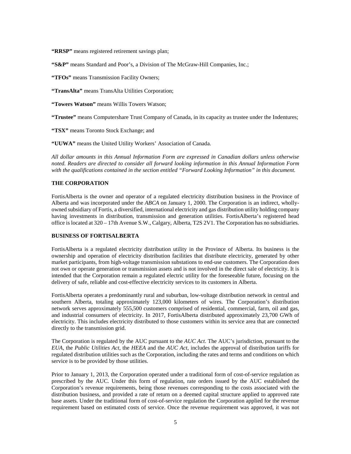**"RRSP"** means registered retirement savings plan;

**"S&P"** means Standard and Poor's, a Division of The McGraw-Hill Companies, Inc.;

**"TFOs"** means Transmission Facility Owners;

**"TransAlta"** means TransAlta Utilities Corporation;

**"Towers Watson"** means Willis Towers Watson;

**"Trustee"** means Computershare Trust Company of Canada, in its capacity as trustee under the Indentures;

**"TSX"** means Toronto Stock Exchange; and

**"UUWA"** means the United Utility Workers' Association of Canada.

*All dollar amounts in this Annual Information Form are expressed in Canadian dollars unless otherwise noted. Readers are directed to consider all forward looking information in this Annual Information Form with the qualifications contained in the section entitled "Forward Looking Information" in this document.*

# <span id="page-4-0"></span>**THE CORPORATION**

FortisAlberta is the owner and operator of a regulated electricity distribution business in the Province of Alberta and was incorporated under the *ABCA* on January 1, 2000. The Corporation is an indirect, whollyowned subsidiary of Fortis, a diversified, international electricity and gas distribution utility holding company having investments in distribution, transmission and generation utilities. FortisAlberta's registered head office is located at 320 – 17th Avenue S.W., Calgary, Alberta, T2S 2V1. The Corporation has no subsidiaries.

# <span id="page-4-1"></span>**BUSINESS OF FORTISALBERTA**

FortisAlberta is a regulated electricity distribution utility in the Province of Alberta. Its business is the ownership and operation of electricity distribution facilities that distribute electricity, generated by other market participants, from high-voltage transmission substations to end-use customers. The Corporation does not own or operate generation or transmission assets and is not involved in the direct sale of electricity. It is intended that the Corporation remain a regulated electric utility for the foreseeable future, focusing on the delivery of safe, reliable and cost-effective electricity services to its customers in Alberta.

FortisAlberta operates a predominantly rural and suburban, low-voltage distribution network in central and southern Alberta, totaling approximately 123,000 kilometers of wires. The Corporation's distribution network serves approximately 555,500 customers comprised of residential, commercial, farm, oil and gas, and industrial consumers of electricity. In 2017, FortisAlberta distributed approximately 23,700 GWh of electricity. This includes electricity distributed to those customers within its service area that are connected directly to the transmission grid.

The Corporation is regulated by the AUC pursuant to the *AUC Act*. The AUC's jurisdiction, pursuant to the *EUA*, the *Public Utilities Act*, the *HEEA* and the *AUC Act*, includes the approval of distribution tariffs for regulated distribution utilities such as the Corporation, including the rates and terms and conditions on which service is to be provided by those utilities.

Prior to January 1, 2013, the Corporation operated under a traditional form of cost-of-service regulation as prescribed by the AUC. Under this form of regulation, rate orders issued by the AUC established the Corporation's revenue requirements, being those revenues corresponding to the costs associated with the distribution business, and provided a rate of return on a deemed capital structure applied to approved rate base assets. Under the traditional form of cost-of-service regulation the Corporation applied for the revenue requirement based on estimated costs of service. Once the revenue requirement was approved, it was not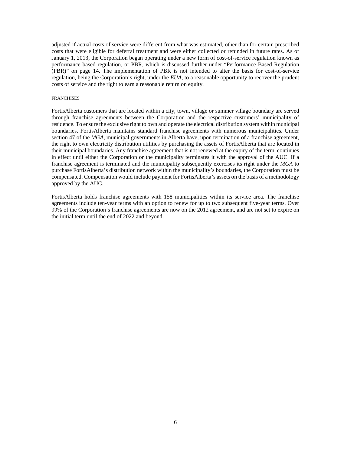adjusted if actual costs of service were different from what was estimated, other than for certain prescribed costs that were eligible for deferral treatment and were either collected or refunded in future rates. As of January 1, 2013, the Corporation began operating under a new form of cost-of-service regulation known as performance based regulation, or PBR, which is discussed further under "Performance Based Regulation (PBR)" on page 14. The implementation of PBR is not intended to alter the basis for cost-of-service regulation, being the Corporation's right, under the *EUA*, to a reasonable opportunity to recover the prudent costs of service and the right to earn a reasonable return on equity.

#### <span id="page-5-0"></span>FRANCHISES

FortisAlberta customers that are located within a city, town, village or summer village boundary are served through franchise agreements between the Corporation and the respective customers' municipality of residence. To ensure the exclusive right to own and operate the electrical distribution system within municipal boundaries, FortisAlberta maintains standard franchise agreements with numerous municipalities. Under section 47 of the *MGA*, municipal governments in Alberta have, upon termination of a franchise agreement, the right to own electricity distribution utilities by purchasing the assets of FortisAlberta that are located in their municipal boundaries. Any franchise agreement that is not renewed at the expiry of the term, continues in effect until either the Corporation or the municipality terminates it with the approval of the AUC. If a franchise agreement is terminated and the municipality subsequently exercises its right under the *MGA* to purchase FortisAlberta's distribution network within the municipality's boundaries, the Corporation must be compensated. Compensation would include payment for FortisAlberta's assets on the basis of a methodology approved by the AUC.

FortisAlberta holds franchise agreements with 158 municipalities within its service area. The franchise agreements include ten-year terms with an option to renew for up to two subsequent five-year terms. Over 99% of the Corporation's franchise agreements are now on the 2012 agreement, and are not set to expire on the initial term until the end of 2022 and beyond.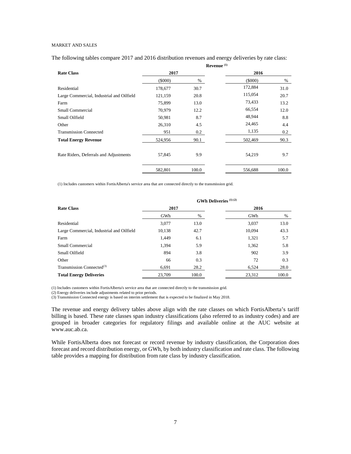### <span id="page-6-0"></span>MARKET AND SALES

The following tables compare 2017 and 2016 distribution revenues and energy deliveries by rate class:

|                                           |         |       | Revenue <sup>(1)</sup> |       |
|-------------------------------------------|---------|-------|------------------------|-------|
| <b>Rate Class</b>                         | 2017    |       | 2016                   |       |
|                                           | (5000)  | %     | (5000)                 | %     |
| Residential                               | 178,677 | 30.7  | 172,884                | 31.0  |
| Large Commercial, Industrial and Oilfield | 121,159 | 20.8  | 115,054                | 20.7  |
| Farm                                      | 75,899  | 13.0  | 73,433                 | 13.2  |
| Small Commercial                          | 70,979  | 12.2  | 66,554                 | 12.0  |
| Small Oilfield                            | 50,981  | 8.7   | 48,944                 | 8.8   |
| Other                                     | 26,310  | 4.5   | 24,465                 | 4.4   |
| <b>Transmission Connected</b>             | 951     | 0.2   | 1,135                  | 0.2   |
| <b>Total Energy Revenue</b>               | 524,956 | 90.1  | 502,469                | 90.3  |
| Rate Riders, Deferrals and Adjustments    | 57,845  | 9.9   | 54,219                 | 9.7   |
|                                           | 582,801 | 100.0 | 556,688                | 100.0 |

(1) Includes customers within FortisAlberta's service area that are connected directly to the transmission grid.

|                                           |        | <b>GWh Deliveries</b> (1)(2) |        |       |
|-------------------------------------------|--------|------------------------------|--------|-------|
| <b>Rate Class</b>                         | 2017   |                              | 2016   |       |
|                                           | GWh    | %                            | GWh    | %     |
| Residential                               | 3,077  | 13.0                         | 3,037  | 13.0  |
| Large Commercial, Industrial and Oilfield | 10,138 | 42.7                         | 10.094 | 43.3  |
| Farm                                      | 1,449  | 6.1                          | 1,321  | 5.7   |
| Small Commercial                          | 1,394  | 5.9                          | 1,362  | 5.8   |
| Small Oilfield                            | 894    | 3.8                          | 902    | 3.9   |
| Other                                     | 66     | 0.3                          | 72     | 0.3   |
| Transmission Connected $(3)$              | 6.691  | 28.2                         | 6.524  | 28.0  |
| <b>Total Energy Deliveries</b>            | 23.709 | 100.0                        | 23,312 | 100.0 |

(1) Includes customers within FortisAlberta's service area that are connected directly to the transmission grid.

(2) Energy deliveries include adjustments related to prior periods.

(3) Transmission Connected energy is based on interim settlement that is expected to be finalized in May 2018.

The revenue and energy delivery tables above align with the rate classes on which FortisAlberta's tariff billing is based. These rate classes span industry classifications (also referred to as industry codes) and are grouped in broader categories for regulatory filings and available online at the AUC website at www.auc.ab.ca.

While FortisAlberta does not forecast or record revenue by industry classification, the Corporation does forecast and record distribution energy, or GWh, by both industry classification and rate class. The following table provides a mapping for distribution from rate class by industry classification.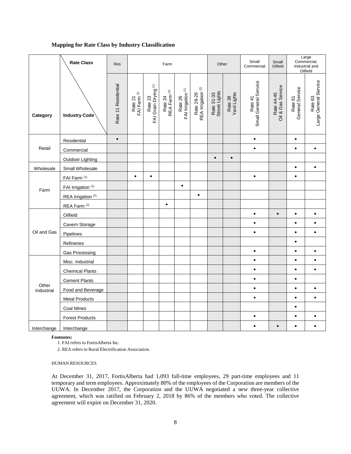# **Mapping for Rate Class by Industry Classification**

|                     | <b>Rate Class</b>             | Res                 |                                    |                                            | Farm                                                                |                                          |                                             | Other                       |                        | Small<br>Commercial              | Small<br>Oilfield               |                            | Large<br>Commercial,<br>Industrial and<br>Oilfield |
|---------------------|-------------------------------|---------------------|------------------------------------|--------------------------------------------|---------------------------------------------------------------------|------------------------------------------|---------------------------------------------|-----------------------------|------------------------|----------------------------------|---------------------------------|----------------------------|----------------------------------------------------|
| Category            | Industry Code                 | Rate 11 Residential | Rate 21<br>FAI Farm <sup>(1)</sup> | Rate 23<br>FAI Grain Drying <sup>(1)</sup> | $\widehat{\boldsymbol{\omega}}$<br>Rate 24<br>REA Farm <sup>(</sup> | Rate 26<br>FAI Irrigation <sup>(1)</sup> | Rate 28-29<br>REA Irrigation <sup>(2)</sup> | Rate 31-33<br>Street Lights | Rate 38<br>Yard Lights | Small General Service<br>Rate 41 | Rate 44-45<br>Oil & Gas Service | Rate 61<br>General Service | Large General Service<br>Rate <sub>63</sub>        |
|                     | Residential                   | $\bullet$           |                                    |                                            |                                                                     |                                          |                                             |                             |                        | $\bullet$                        |                                 | $\bullet$                  |                                                    |
| Retail              | Commercial                    |                     |                                    |                                            |                                                                     |                                          |                                             |                             |                        | $\bullet$                        |                                 | $\bullet$                  | $\bullet$                                          |
|                     | Outdoor Lighting              |                     |                                    |                                            |                                                                     |                                          |                                             | $\bullet$                   | $\bullet$              |                                  |                                 |                            |                                                    |
| Wholesale           | Small Wholesale               |                     |                                    |                                            |                                                                     |                                          |                                             |                             |                        |                                  |                                 | $\bullet$                  | $\bullet$                                          |
|                     | FAI Farm <sup>(1)</sup>       |                     | $\bullet$                          | $\bullet$                                  |                                                                     |                                          |                                             |                             |                        | $\bullet$                        |                                 | $\bullet$                  |                                                    |
| Farm                | FAI Irrigation (1)            |                     |                                    |                                            |                                                                     | $\bullet$                                |                                             |                             |                        |                                  |                                 |                            |                                                    |
|                     | REA Irrigation <sup>(2)</sup> |                     |                                    |                                            |                                                                     |                                          | $\bullet$                                   |                             |                        |                                  |                                 |                            |                                                    |
|                     | REA Farm <sup>(2)</sup>       |                     |                                    |                                            | $\bullet$                                                           |                                          |                                             |                             |                        |                                  |                                 |                            |                                                    |
|                     | Oilfield                      |                     |                                    |                                            |                                                                     |                                          |                                             |                             |                        | $\bullet$                        |                                 | $\bullet$                  |                                                    |
|                     | Cavern Storage                |                     |                                    |                                            |                                                                     |                                          |                                             |                             |                        | $\bullet$                        |                                 | $\bullet$                  | $\bullet$                                          |
| Oil and Gas         | Pipelines                     |                     |                                    |                                            |                                                                     |                                          |                                             |                             |                        | $\bullet$                        |                                 | $\bullet$                  | $\bullet$                                          |
|                     | Refineries                    |                     |                                    |                                            |                                                                     |                                          |                                             |                             |                        |                                  |                                 | $\bullet$                  |                                                    |
|                     | Gas Processing                |                     |                                    |                                            |                                                                     |                                          |                                             |                             |                        | $\bullet$                        |                                 | $\bullet$                  | $\bullet$                                          |
|                     | Misc. Industrial              |                     |                                    |                                            |                                                                     |                                          |                                             |                             |                        | $\bullet$                        |                                 | $\bullet$                  | $\bullet$                                          |
|                     | <b>Chemical Plants</b>        |                     |                                    |                                            |                                                                     |                                          |                                             |                             |                        | $\bullet$                        |                                 | $\bullet$                  | $\bullet$                                          |
|                     | <b>Cement Plants</b>          |                     |                                    |                                            |                                                                     |                                          |                                             |                             |                        | $\bullet$                        |                                 | $\bullet$                  |                                                    |
| Other<br>Industrial | Food and Beverage             |                     |                                    |                                            |                                                                     |                                          |                                             |                             |                        | $\bullet$                        |                                 | $\bullet$                  | $\bullet$                                          |
|                     | <b>Metal Products</b>         |                     |                                    |                                            |                                                                     |                                          |                                             |                             |                        | $\bullet$                        |                                 | $\bullet$                  | $\bullet$                                          |
|                     | <b>Coal Mines</b>             |                     |                                    |                                            |                                                                     |                                          |                                             |                             |                        |                                  |                                 | $\bullet$                  |                                                    |
|                     | <b>Forest Products</b>        |                     |                                    |                                            |                                                                     |                                          |                                             |                             |                        | $\bullet$                        |                                 | $\bullet$                  | $\bullet$                                          |
| Interchange         | Interchange                   |                     |                                    |                                            |                                                                     |                                          |                                             |                             |                        |                                  |                                 |                            |                                                    |

**Footnotes:**

1. FAI refers to FortisAlberta Inc.

2. REA refers to Rural Electrification Association.

<span id="page-7-0"></span>HUMAN RESOURCES

At December 31, 2017, FortisAlberta had 1,093 full-time employees, 29 part-time employees and 11 temporary and term employees. Approximately 80% of the employees of the Corporation are members of the UUWA. In December 2017, the Corporation and the UUWA negotiated a new three-year collective agreement, which was ratified on February 2, 2018 by 86% of the members who voted. The collective agreement will expire on December 31, 2020.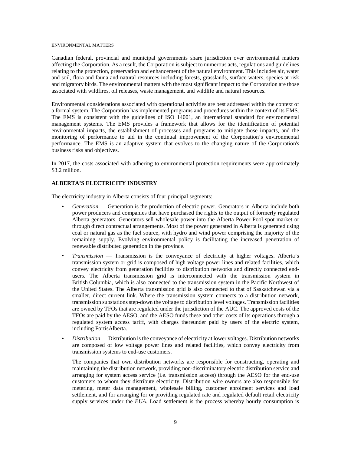#### <span id="page-8-0"></span>ENVIRONMENTAL MATTERS

Canadian federal, provincial and municipal governments share jurisdiction over environmental matters affecting the Corporation. As a result, the Corporation is subject to numerous acts, regulations and guidelines relating to the protection, preservation and enhancement of the natural environment. This includes air, water and soil, flora and fauna and natural resources including forests, grasslands, surface waters, species at risk and migratory birds. The environmental matters with the most significant impact to the Corporation are those associated with wildfires, oil releases, waste management, and wildlife and natural resources.

Environmental considerations associated with operational activities are best addressed within the context of a formal system. The Corporation has implemented programs and procedures within the context of its EMS. The EMS is consistent with the guidelines of ISO 14001, an international standard for environmental management systems. The EMS provides a framework that allows for the identification of potential environmental impacts, the establishment of processes and programs to mitigate those impacts, and the monitoring of performance to aid in the continual improvement of the Corporation's environmental performance. The EMS is an adaptive system that evolves to the changing nature of the Corporation's business risks and objectives.

In 2017, the costs associated with adhering to environmental protection requirements were approximately \$3.2 million.

# <span id="page-8-1"></span>**ALBERTA'S ELECTRICITY INDUSTRY**

The electricity industry in Alberta consists of four principal segments:

- *Generation* Generation is the production of electric power. Generators in Alberta include both power producers and companies that have purchased the rights to the output of formerly regulated Alberta generators. Generators sell wholesale power into the Alberta Power Pool spot market or through direct contractual arrangements. Most of the power generated in Alberta is generated using coal or natural gas as the fuel source, with hydro and wind power comprising the majority of the remaining supply. Evolving environmental policy is facilitating the increased penetration of renewable distributed generation in the province.
- *Transmission* Transmission is the conveyance of electricity at higher voltages. Alberta's transmission system or grid is composed of high voltage power lines and related facilities, which convey electricity from generation facilities to distribution networks and directly connected endusers. The Alberta transmission grid is interconnected with the transmission system in British Columbia, which is also connected to the transmission system in the Pacific Northwest of the United States. The Alberta transmission grid is also connected to that of Saskatchewan via a smaller, direct current link. Where the transmission system connects to a distribution network, transmission substations step-down the voltage to distribution level voltages. Transmission facilities are owned by TFOs that are regulated under the jurisdiction of the AUC. The approved costs of the TFOs are paid by the AESO, and the AESO funds these and other costs of its operations through a regulated system access tariff, with charges thereunder paid by users of the electric system, including FortisAlberta.
- *Distribution* Distribution is the conveyance of electricity at lower voltages. Distribution networks are composed of low voltage power lines and related facilities, which convey electricity from transmission systems to end-use customers.

The companies that own distribution networks are responsible for constructing, operating and maintaining the distribution network, providing non-discriminatory electric distribution service and arranging for system access service (i.e. transmission access) through the AESO for the end-use customers to whom they distribute electricity. Distribution wire owners are also responsible for metering, meter data management, wholesale billing, customer enrolment services and load settlement, and for arranging for or providing regulated rate and regulated default retail electricity supply services under the *EUA*. Load settlement is the process whereby hourly consumption is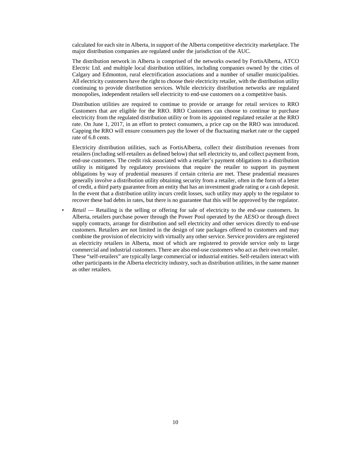calculated for each site in Alberta, in support of the Alberta competitive electricity marketplace. The major distribution companies are regulated under the jurisdiction of the AUC.

The distribution network in Alberta is comprised of the networks owned by FortisAlberta, ATCO Electric Ltd. and multiple local distribution utilities, including companies owned by the cities of Calgary and Edmonton, rural electrification associations and a number of smaller municipalities. All electricity customers have the right to choose their electricity retailer, with the distribution utility continuing to provide distribution services. While electricity distribution networks are regulated monopolies, independent retailers sell electricity to end-use customers on a competitive basis.

Distribution utilities are required to continue to provide or arrange for retail services to RRO Customers that are eligible for the RRO. RRO Customers can choose to continue to purchase electricity from the regulated distribution utility or from its appointed regulated retailer at the RRO rate. On June 1, 2017, in an effort to protect consumers, a price cap on the RRO was introduced. Capping the RRO will ensure consumers pay the lower of the fluctuating market rate or the capped rate of 6.8 cents.

Electricity distribution utilities, such as FortisAlberta, collect their distribution revenues from retailers (including self-retailers as defined below) that sell electricity to, and collect payment from, end-use customers. The credit risk associated with a retailer's payment obligations to a distribution utility is mitigated by regulatory provisions that require the retailer to support its payment obligations by way of prudential measures if certain criteria are met. These prudential measures generally involve a distribution utility obtaining security from a retailer, often in the form of a letter of credit, a third party guarantee from an entity that has an investment grade rating or a cash deposit. In the event that a distribution utility incurs credit losses, such utility may apply to the regulator to recover these bad debts in rates, but there is no guarantee that this will be approved by the regulator.

• *Retail* — Retailing is the selling or offering for sale of electricity to the end-use customers. In Alberta, retailers purchase power through the Power Pool operated by the AESO or through direct supply contracts, arrange for distribution and sell electricity and other services directly to end-use customers. Retailers are not limited in the design of rate packages offered to customers and may combine the provision of electricity with virtually any other service. Service providers are registered as electricity retailers in Alberta, most of which are registered to provide service only to large commercial and industrial customers. There are also end-use customers who act as their own retailer. These "self-retailers" are typically large commercial or industrial entities. Self-retailers interact with other participants in the Alberta electricity industry, such as distribution utilities, in the same manner as other retailers.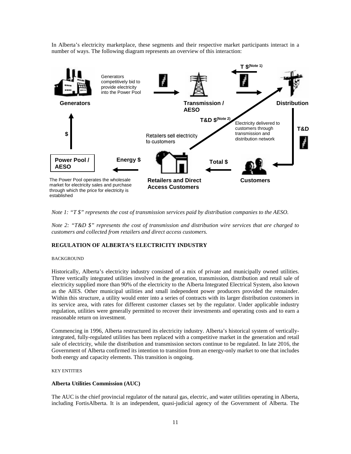In Alberta's electricity marketplace, these segments and their respective market participants interact in a number of ways. The following diagram represents an overview of this interaction:



*Note 1: "T \$" represents the cost of transmission services paid by distribution companies to the AESO.*

*Note 2: "T&D \$" represents the cost of transmission and distribution wire services that are charged to customers and collected from retailers and direct access customers.*

# <span id="page-10-0"></span>**REGULATION OF ALBERTA'S ELECTRICITY INDUSTRY**

#### <span id="page-10-1"></span>BACKGROUND

Historically, Alberta's electricity industry consisted of a mix of private and municipally owned utilities. Three vertically integrated utilities involved in the generation, transmission, distribution and retail sale of electricity supplied more than 90% of the electricity to the Alberta Integrated Electrical System, also known as the AIES. Other municipal utilities and small independent power producers provided the remainder. Within this structure, a utility would enter into a series of contracts with its larger distribution customers in its service area, with rates for different customer classes set by the regulator. Under applicable industry regulation, utilities were generally permitted to recover their investments and operating costs and to earn a reasonable return on investment.

Commencing in 1996, Alberta restructured its electricity industry. Alberta's historical system of verticallyintegrated, fully-regulated utilities has been replaced with a competitive market in the generation and retail sale of electricity, while the distribution and transmission sectors continue to be regulated. In late 2016, the Government of Alberta confirmed its intention to transition from an energy-only market to one that includes both energy and capacity elements. This transition is ongoing.

#### <span id="page-10-2"></span>KEY ENTITIES

#### **Alberta Utilities Commission (AUC)**

The AUC is the chief provincial regulator of the natural gas, electric, and water utilities operating in Alberta, including FortisAlberta. It is an independent, quasi-judicial agency of the Government of Alberta. The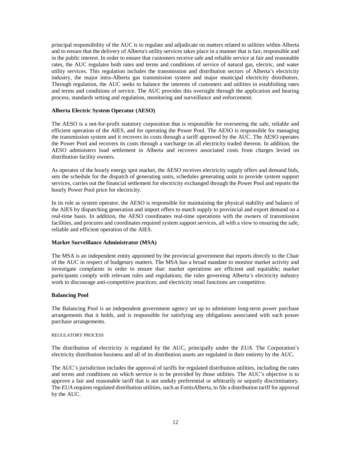principal responsibility of the AUC is to regulate and adjudicate on matters related to utilities within Alberta and to ensure that the delivery of Alberta's utility services takes place in a manner that is fair, responsible and in the public interest. In order to ensure that customers receive safe and reliable service at fair and reasonable rates, the AUC regulates both rates and terms and conditions of service of natural gas, electric, and water utility services. This regulation includes the transmission and distribution sectors of Alberta's electricity industry, the major intra-Alberta gas transmission system and major municipal electricity distributors. Through regulation, the AUC seeks to balance the interests of customers and utilities in establishing rates and terms and conditions of service. The AUC provides this oversight through the application and hearing process, standards setting and regulation, monitoring and surveillance and enforcement.

# **Alberta Electric System Operator (AESO)**

The AESO is a not-for-profit statutory corporation that is responsible for overseeing the safe, reliable and efficient operation of the AIES, and for operating the Power Pool. The AESO is responsible for managing the transmission system and it recovers its costs through a tariff approved by the AUC. The AESO operates the Power Pool and recovers its costs through a surcharge on all electricity traded thereon. In addition, the AESO administers load settlement in Alberta and recovers associated costs from charges levied on distribution facility owners.

As operator of the hourly energy spot market, the AESO receives electricity supply offers and demand bids, sets the schedule for the dispatch of generating units, schedules generating units to provide system support services, carries out the financial settlement for electricity exchanged through the Power Pool and reports the hourly Power Pool price for electricity.

In its role as system operator, the AESO is responsible for maintaining the physical stability and balance of the AIES by dispatching generation and import offers to match supply to provincial and export demand on a real-time basis. In addition, the AESO coordinates real-time operations with the owners of transmission facilities, and procures and coordinates required system support services, all with a view to ensuring the safe, reliable and efficient operation of the AIES.

# **Market Surveillance Administrator (MSA)**

The MSA is an independent entity appointed by the provincial government that reports directly to the Chair of the AUC in respect of budgetary matters. The MSA has a broad mandate to monitor market activity and investigate complaints in order to ensure that: market operations are efficient and equitable; market participants comply with relevant rules and regulations; the rules governing Alberta's electricity industry work to discourage anti-competitive practices; and electricity retail functions are competitive.

#### **Balancing Pool**

The Balancing Pool is an independent government agency set up to administer long-term power purchase arrangements that it holds, and is responsible for satisfying any obligations associated with such power purchase arrangements.

#### <span id="page-11-0"></span>REGULATORY PROCESS

The distribution of electricity is regulated by the AUC, principally under the *EUA*. The Corporation's electricity distribution business and all of its distribution assets are regulated in their entirety by the AUC.

The AUC's jurisdiction includes the approval of tariffs for regulated distribution utilities, including the rates and terms and conditions on which service is to be provided by those utilities. The AUC's objective is to approve a fair and reasonable tariff that is not unduly preferential or arbitrarily or unjustly discriminatory. The *EUA* requires regulated distribution utilities, such as FortisAlberta, to file a distribution tariff for approval by the AUC.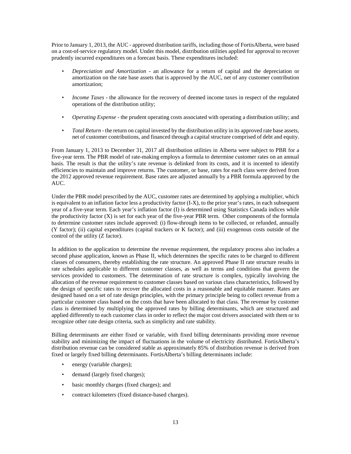Prior to January 1, 2013, the AUC - approved distribution tariffs, including those of FortisAlberta, were based on a cost-of-service regulatory model. Under this model, distribution utilities applied for approval to recover prudently incurred expenditures on a forecast basis. These expenditures included:

- *Depreciation and Amortization* an allowance for a return of capital and the depreciation or amortization on the rate base assets that is approved by the AUC, net of any customer contribution amortization;
- *Income Taxes* the allowance for the recovery of deemed income taxes in respect of the regulated operations of the distribution utility;
- *Operating Expense* the prudent operating costs associated with operating a distribution utility; and
- *Total Return* the return on capital invested by the distribution utility in its approved rate base assets, net of customer contributions, and financed through a capital structure comprised of debt and equity.

From January 1, 2013 to December 31, 2017 all distribution utilities in Alberta were subject to PBR for a five-year term. The PBR model of rate-making employs a formula to determine customer rates on an annual basis. The result is that the utility's rate revenue is delinked from its costs, and it is incented to identify efficiencies to maintain and improve returns. The customer, or base, rates for each class were derived from the 2012 approved revenue requirement. Base rates are adjusted annually by a PBR formula approved by the AUC.

Under the PBR model prescribed by the AUC, customer rates are determined by applying a multiplier, which is equivalent to an inflation factor less a productivity factor (I-X), to the prior year's rates, in each subsequent year of a five-year term. Each year's inflation factor (I) is determined using Statistics Canada indices while the productivity factor (X) is set for each year of the five-year PBR term. Other components of the formula to determine customer rates include approved: (i) flow-through items to be collected, or refunded, annually (Y factor); (ii) capital expenditures (capital trackers or K factor); and (iii) exogenous costs outside of the control of the utility (Z factor).

In addition to the application to determine the revenue requirement, the regulatory process also includes a second phase application, known as Phase II, which determines the specific rates to be charged to different classes of consumers, thereby establishing the rate structure. An approved Phase II rate structure results in rate schedules applicable to different customer classes, as well as terms and conditions that govern the services provided to customers. The determination of rate structure is complex, typically involving the allocation of the revenue requirement to customer classes based on various class characteristics, followed by the design of specific rates to recover the allocated costs in a reasonable and equitable manner. Rates are designed based on a set of rate design principles, with the primary principle being to collect revenue from a particular customer class based on the costs that have been allocated to that class. The revenue by customer class is determined by multiplying the approved rates by billing determinants, which are structured and applied differently to each customer class in order to reflect the major cost drivers associated with them or to recognize other rate design criteria, such as simplicity and rate stability.

Billing determinants are either fixed or variable, with fixed billing determinants providing more revenue stability and minimizing the impact of fluctuations in the volume of electricity distributed. FortisAlberta's distribution revenue can be considered stable as approximately 85% of distribution revenue is derived from fixed or largely fixed billing determinants. FortisAlberta's billing determinants include:

- energy (variable charges);
- demand (largely fixed charges);
- basic monthly charges (fixed charges); and
- contract kilometers (fixed distance-based charges).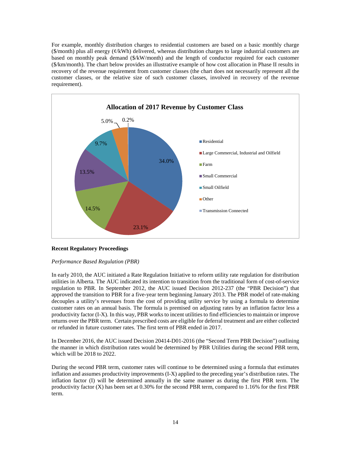For example, monthly distribution charges to residential customers are based on a basic monthly charge  $(\$/month)$  plus all energy  $(\phi/kWh)$  delivered, whereas distribution charges to large industrial customers are based on monthly peak demand (\$/kW/month) and the length of conductor required for each customer (\$/km/month). The chart below provides an illustrative example of how cost allocation in Phase II results in recovery of the revenue requirement from customer classes (the chart does not necessarily represent all the customer classes, or the relative size of such customer classes, involved in recovery of the revenue requirement).



# **Recent Regulatory Proceedings**

# *Performance Based Regulation (PBR)*

In early 2010, the AUC initiated a Rate Regulation Initiative to reform utility rate regulation for distribution utilities in Alberta. The AUC indicated its intention to transition from the traditional form of cost-of-service regulation to PBR. In September 2012, the AUC issued Decision 2012-237 (the "PBR Decision") that approved the transition to PBR for a five-year term beginning January 2013. The PBR model of rate-making decouples a utility's revenues from the cost of providing utility service by using a formula to determine customer rates on an annual basis. The formula is premised on adjusting rates by an inflation factor less a productivity factor (I-X). In this way, PBR works to incent utilities to find efficiencies to maintain or improve returns over the PBR term. Certain prescribed costs are eligible for deferral treatment and are either collected or refunded in future customer rates. The first term of PBR ended in 2017.

In December 2016, the AUC issued Decision 20414-D01-2016 (the "Second Term PBR Decision") outlining the manner in which distribution rates would be determined by PBR Utilities during the second PBR term, which will be 2018 to 2022.

During the second PBR term, customer rates will continue to be determined using a formula that estimates inflation and assumes productivity improvements (I-X) applied to the preceding year's distribution rates. The inflation factor (I) will be determined annually in the same manner as during the first PBR term. The productivity factor (X) has been set at 0.30% for the second PBR term, compared to 1.16% for the first PBR term.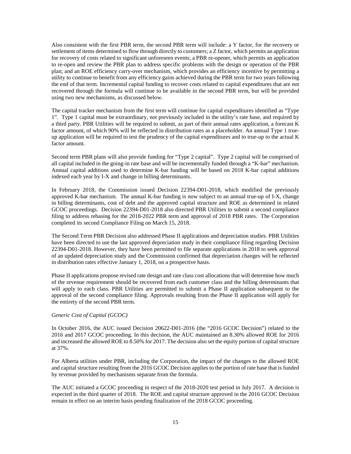Also consistent with the first PBR term, the second PBR term will include: a Y factor, for the recovery or settlement of items determined to flow through directly to customers; a Z factor, which permits an application for recovery of costs related to significant unforeseen events; a PBR re-opener, which permits an application to re-open and review the PBR plan to address specific problems with the design or operation of the PBR plan; and an ROE efficiency carry-over mechanism, which provides an efficiency incentive by permitting a utility to continue to benefit from any efficiency gains achieved during the PBR term for two years following the end of that term. Incremental capital funding to recover costs related to capital expenditures that are not recovered through the formula will continue to be available in the second PBR term, but will be provided using two new mechanisms, as discussed below.

The capital tracker mechanism from the first term will continue for capital expenditures identified as "Type 1". Type 1 capital must be extraordinary, not previously included in the utility's rate base, and required by a third party. PBR Utilities will be required to submit, as part of their annual rates application, a forecast K factor amount, of which 90% will be reflected in distribution rates as a placeholder. An annual Type 1 trueup application will be required to test the prudency of the capital expenditures and to true-up to the actual K factor amount.

Second term PBR plans will also provide funding for "Type 2 capital". Type 2 capital will be comprised of all capital included in the going-in rate base and will be incrementally funded through a "K-bar" mechanism. Annual capital additions used to determine K-bar funding will be based on 2018 K-bar capital additions indexed each year by I-X and change in billing determinants.

In February 2018, the Commission issued Decision 22394-D01-2018, which modified the previously approved K-bar mechanism. The annual K-bar funding is now subject to an annual true-up of I-X, change in billing determinants, cost of debt and the approved capital structure and ROE as determined in related GCOC proceedings. Decision 22394-D01-2018 also directed PBR Utilities to submit a second compliance filing to address rebasing for the 2018-2022 PBR term and approval of 2018 PBR rates. The Corporation completed its second Compliance Filing on March 15, 2018.

The Second Term PBR Decision also addressed Phase II applications and depreciation studies. PBR Utilities have been directed to use the last approved depreciation study in their compliance filing regarding Decision 22394-D01-2018. However, they have been permitted to file separate applications in 2018 to seek approval of an updated depreciation study and the Commission confirmed that depreciation changes will be reflected in distribution rates effective January 1, 2018, on a prospective basis.

Phase II applications propose revised rate design and rate class cost allocations that will determine how much of the revenue requirement should be recovered from each customer class and the billing determinants that will apply to each class. PBR Utilities are permitted to submit a Phase II application subsequent to the approval of the second compliance filing. Approvals resulting from the Phase II application will apply for the entirety of the second PBR term.

# *Generic Cost of Capital (GCOC)*

In October 2016, the AUC issued Decision 20622-D01-2016 (the "2016 GCOC Decision") related to the 2016 and 2017 GCOC proceeding. In this decision, the AUC maintained an 8.30% allowed ROE for 2016 and increased the allowed ROE to 8.50% for 2017. The decision also set the equity portion of capital structure at 37%.

For Alberta utilities under PBR, including the Corporation, the impact of the changes to the allowed ROE and capital structure resulting from the 2016 GCOC Decision applies to the portion of rate base that is funded by revenue provided by mechanisms separate from the formula.

The AUC initiated a GCOC proceeding in respect of the 2018-2020 test period in July 2017. A decision is expected in the third quarter of 2018. The ROE and capital structure approved in the 2016 GCOC Decision remain in effect on an interim basis pending finalization of the 2018 GCOC proceeding.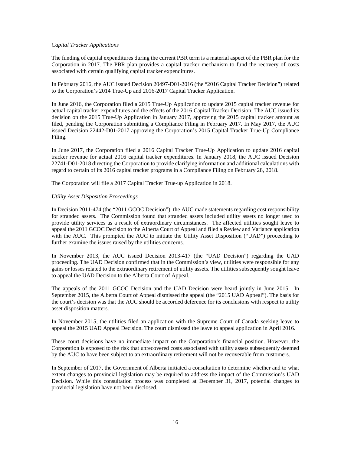# *Capital Tracker Applications*

The funding of capital expenditures during the current PBR term is a material aspect of the PBR plan for the Corporation in 2017. The PBR plan provides a capital tracker mechanism to fund the recovery of costs associated with certain qualifying capital tracker expenditures.

In February 2016, the AUC issued Decision 20497-D01-2016 (the "2016 Capital Tracker Decision") related to the Corporation's 2014 True-Up and 2016-2017 Capital Tracker Application.

In June 2016, the Corporation filed a 2015 True-Up Application to update 2015 capital tracker revenue for actual capital tracker expenditures and the effects of the 2016 Capital Tracker Decision. The AUC issued its decision on the 2015 True-Up Application in January 2017, approving the 2015 capital tracker amount as filed, pending the Corporation submitting a Compliance Filing in February 2017. In May 2017, the AUC issued Decision 22442-D01-2017 approving the Corporation's 2015 Capital Tracker True-Up Compliance Filing.

In June 2017, the Corporation filed a 2016 Capital Tracker True-Up Application to update 2016 capital tracker revenue for actual 2016 capital tracker expenditures. In January 2018, the AUC issued Decision 22741-D01-2018 directing the Corporation to provide clarifying information and additional calculations with regard to certain of its 2016 capital tracker programs in a Compliance Filing on February 28, 2018.

The Corporation will file a 2017 Capital Tracker True-up Application in 2018.

# *Utility Asset Disposition Proceedings*

In Decision 2011-474 (the "2011 GCOC Decision"), the AUC made statements regarding cost responsibility for stranded assets. The Commission found that stranded assets included utility assets no longer used to provide utility services as a result of extraordinary circumstances. The affected utilities sought leave to appeal the 2011 GCOC Decision to the Alberta Court of Appeal and filed a Review and Variance application with the AUC. This prompted the AUC to initiate the Utility Asset Disposition ("UAD") proceeding to further examine the issues raised by the utilities concerns.

In November 2013, the AUC issued Decision 2013-417 (the "UAD Decision") regarding the UAD proceeding. The UAD Decision confirmed that in the Commission's view, utilities were responsible for any gains or losses related to the extraordinary retirement of utility assets. The utilities subsequently sought leave to appeal the UAD Decision to the Alberta Court of Appeal.

The appeals of the 2011 GCOC Decision and the UAD Decision were heard jointly in June 2015. In September 2015, the Alberta Court of Appeal dismissed the appeal (the "2015 UAD Appeal"). The basis for the court's decision was that the AUC should be accorded deference for its conclusions with respect to utility asset disposition matters.

In November 2015, the utilities filed an application with the Supreme Court of Canada seeking leave to appeal the 2015 UAD Appeal Decision. The court dismissed the leave to appeal application in April 2016.

These court decisions have no immediate impact on the Corporation's financial position. However, the Corporation is exposed to the risk that unrecovered costs associated with utility assets subsequently deemed by the AUC to have been subject to an extraordinary retirement will not be recoverable from customers.

In September of 2017, the Government of Alberta initiated a consultation to determine whether and to what extent changes to provincial legislation may be required to address the impact of the Commission's UAD Decision. While this consultation process was completed at December 31, 2017, potential changes to provincial legislation have not been disclosed.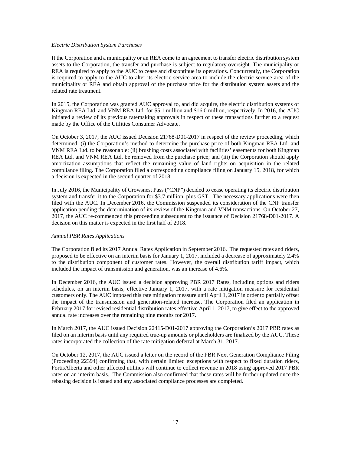# *Electric Distribution System Purchases*

If the Corporation and a municipality or an REA come to an agreement to transfer electric distribution system assets to the Corporation, the transfer and purchase is subject to regulatory oversight. The municipality or REA is required to apply to the AUC to cease and discontinue its operations. Concurrently, the Corporation is required to apply to the AUC to alter its electric service area to include the electric service area of the municipality or REA and obtain approval of the purchase price for the distribution system assets and the related rate treatment.

In 2015, the Corporation was granted AUC approval to, and did acquire, the electric distribution systems of Kingman REA Ltd. and VNM REA Ltd. for \$5.1 million and \$16.0 million, respectively. In 2016, the AUC initiated a review of its previous ratemaking approvals in respect of these transactions further to a request made by the Office of the Utilities Consumer Advocate.

On October 3, 2017, the AUC issued Decision 21768-D01-2017 in respect of the review proceeding, which determined: (i) the Corporation's method to determine the purchase price of both Kingman REA Ltd. and VNM REA Ltd. to be reasonable; (ii) brushing costs associated with facilities' easements for both Kingman REA Ltd. and VNM REA Ltd. be removed from the purchase price; and (iii) the Corporation should apply amortization assumptions that reflect the remaining value of land rights on acquisition in the related compliance filing. The Corporation filed a corresponding compliance filing on January 15, 2018, for which a decision is expected in the second quarter of 2018.

In July 2016, the Municipality of Crowsnest Pass ("CNP") decided to cease operating its electric distribution system and transfer it to the Corporation for \$3.7 million, plus GST. The necessary applications were then filed with the AUC. In December 2016, the Commission suspended its consideration of the CNP transfer application pending the determination of its review of the Kingman and VNM transactions. On October 27, 2017, the AUC re-commenced this proceeding subsequent to the issuance of Decision 21768-D01-2017. A decision on this matter is expected in the first half of 2018.

# *Annual PBR Rates Applications*

The Corporation filed its 2017 Annual Rates Application in September 2016. The requested rates and riders, proposed to be effective on an interim basis for January 1, 2017, included a decrease of approximately 2.4% to the distribution component of customer rates. However, the overall distribution tariff impact, which included the impact of transmission and generation, was an increase of 4.6%.

In December 2016, the AUC issued a decision approving PBR 2017 Rates, including options and riders schedules, on an interim basis, effective January 1, 2017, with a rate mitigation measure for residential customers only. The AUC imposed this rate mitigation measure until April 1, 2017 in order to partially offset the impact of the transmission and generation-related increase. The Corporation filed an application in February 2017 for revised residential distribution rates effective April 1, 2017, to give effect to the approved annual rate increases over the remaining nine months for 2017.

In March 2017, the AUC issued Decision 22415-D01-2017 approving the Corporation's 2017 PBR rates as filed on an interim basis until any required true-up amounts or placeholders are finalized by the AUC. These rates incorporated the collection of the rate mitigation deferral at March 31, 2017.

On October 12, 2017, the AUC issued a letter on the record of the PBR Next Generation Compliance Filing (Proceeding 22394) confirming that, with certain limited exceptions with respect to fixed duration riders, FortisAlberta and other affected utilities will continue to collect revenue in 2018 using approved 2017 PBR rates on an interim basis. The Commission also confirmed that these rates will be further updated once the rebasing decision is issued and any associated compliance processes are completed.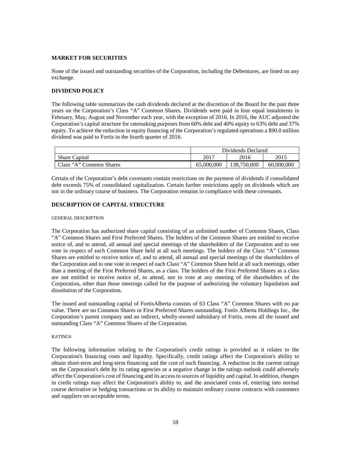# <span id="page-17-0"></span>**MARKET FOR SECURITIES**

None of the issued and outstanding securities of the Corporation, including the Debentures, are listed on any exchange.

# <span id="page-17-1"></span>**DIVIDEND POLICY**

The following table summarizes the cash dividends declared at the discretion of the Board for the past three years on the Corporation's Class "A" Common Shares. Dividends were paid in four equal instalments in February, May, August and November each year, with the exception of 2016. In 2016, the AUC adjusted the Corporation's capital structure for ratemaking purposes from 60% debt and 40% equity to 63% debt and 37% equity. To achieve the reduction in equity financing of the Corporation's regulated operations a \$90.0 million dividend was paid to Fortis in the fourth quarter of 2016.

|                         | Dividends Declared |             |            |
|-------------------------|--------------------|-------------|------------|
| <b>Share Capital</b>    | 2017               | 2016        | 2015       |
| Class "A" Common Shares | 65,000,000         | 138,750,000 | 60,000,000 |

Certain of the Corporation's debt covenants contain restrictions on the payment of dividends if consolidated debt exceeds 75% of consolidated capitalization. Certain further restrictions apply on dividends which are not in the ordinary course of business. The Corporation remains in compliance with these covenants.

# <span id="page-17-2"></span>**DESCRIPTION OF CAPITAL STRUCTURE**

### <span id="page-17-3"></span>GENERAL DESCRIPTION

The Corporation has authorized share capital consisting of an unlimited number of Common Shares, Class "A" Common Shares and First Preferred Shares. The holders of the Common Shares are entitled to receive notice of, and to attend, all annual and special meetings of the shareholders of the Corporation and to one vote in respect of each Common Share held at all such meetings. The holders of the Class "A" Common Shares are entitled to receive notice of, and to attend, all annual and special meetings of the shareholders of the Corporation and to one vote in respect of each Class "A" Common Share held at all such meetings, other than a meeting of the First Preferred Shares, as a class. The holders of the First Preferred Shares as a class are not entitled to receive notice of, to attend, nor to vote at any meeting of the shareholders of the Corporation, other than those meetings called for the purpose of authorizing the voluntary liquidation and dissolution of the Corporation.

The issued and outstanding capital of FortisAlberta consists of 63 Class "A" Common Shares with no par value. There are no Common Shares or First Preferred Shares outstanding. Fortis Alberta Holdings Inc., the Corporation's parent company and an indirect, wholly-owned subsidiary of Fortis, owns all the issued and outstanding Class "A" Common Shares of the Corporation.

# <span id="page-17-4"></span>RATINGS

The following information relating to the Corporation's credit ratings is provided as it relates to the Corporation's financing costs and liquidity. Specifically, credit ratings affect the Corporation's ability to obtain short-term and long-term financing and the cost of such financing. A reduction in the current ratings on the Corporation's debt by its rating agencies or a negative change in the ratings outlook could adversely affect the Corporation's cost of financing and its access to sources of liquidity and capital. In addition, changes in credit ratings may affect the Corporation's ability to, and the associated costs of, entering into normal course derivative or hedging transactions or its ability to maintain ordinary course contracts with customers and suppliers on acceptable terms.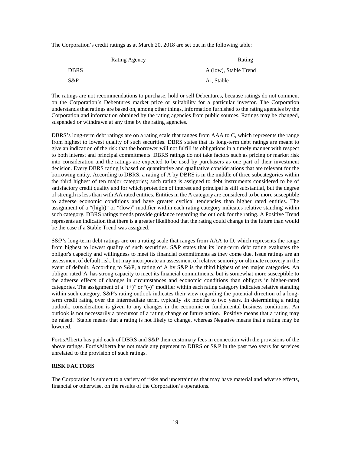The Corporation's credit ratings as at March 20, 2018 are set out in the following table:

| Rating Agency | Rating                |
|---------------|-----------------------|
| <b>DBRS</b>   | A (low), Stable Trend |
| $S\&P$        | A-, Stable            |

The ratings are not recommendations to purchase, hold or sell Debentures, because ratings do not comment on the Corporation's Debentures market price or suitability for a particular investor. The Corporation understands that ratings are based on, among other things, information furnished to the rating agencies by the Corporation and information obtained by the rating agencies from public sources. Ratings may be changed, suspended or withdrawn at any time by the rating agencies.

DBRS's long-term debt ratings are on a rating scale that ranges from AAA to C, which represents the range from highest to lowest quality of such securities. DBRS states that its long-term debt ratings are meant to give an indication of the risk that the borrower will not fulfill its obligations in a timely manner with respect to both interest and principal commitments. DBRS ratings do not take factors such as pricing or market risk into consideration and the ratings are expected to be used by purchasers as one part of their investment decision. Every DBRS rating is based on quantitative and qualitative considerations that are relevant for the borrowing entity. According to DBRS, a rating of A by DBRS is in the middle of three subcategories within the third highest of ten major categories; such rating is assigned to debt instruments considered to be of satisfactory credit quality and for which protection of interest and principal is still substantial, but the degree of strength is less than with AA rated entities. Entities in the A category are considered to be more susceptible to adverse economic conditions and have greater cyclical tendencies than higher rated entities. The assignment of a "(high)" or "(low)" modifier within each rating category indicates relative standing within such category. DBRS ratings trends provide guidance regarding the outlook for the rating. A Positive Trend represents an indication that there is a greater likelihood that the rating could change in the future than would be the case if a Stable Trend was assigned.

S&P's long-term debt ratings are on a rating scale that ranges from AAA to D, which represents the range from highest to lowest quality of such securities. S&P states that its long-term debt rating evaluates the obligor's capacity and willingness to meet its financial commitments as they come due. Issue ratings are an assessment of default risk, but may incorporate an assessment of relative seniority or ultimate recovery in the event of default. According to S&P, a rating of A by S&P is the third highest of ten major categories. An obligor rated 'A' has strong capacity to meet its financial commitments, but is somewhat more susceptible to the adverse effects of changes in circumstances and economic conditions than obligors in higher-rated categories. The assignment of a "(+)" or "(-)" modifier within each rating category indicates relative standing within such category. S&P's rating outlook indicates their view regarding the potential direction of a longterm credit rating over the intermediate term, typically six months to two years. In determining a rating outlook, consideration is given to any changes in the economic or fundamental business conditions. An outlook is not necessarily a precursor of a rating change or future action. Positive means that a rating may be raised. Stable means that a rating is not likely to change, whereas Negative means that a rating may be lowered.

FortisAlberta has paid each of DBRS and S&P their customary fees in connection with the provisions of the above ratings. FortisAlberta has not made any payment to DBRS or S&P in the past two years for services unrelated to the provision of such ratings.

# <span id="page-18-0"></span>**RISK FACTORS**

The Corporation is subject to a variety of risks and uncertainties that may have material and adverse effects, financial or otherwise, on the results of the Corporation's operations.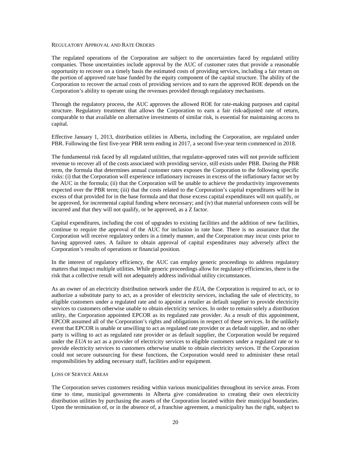#### <span id="page-19-0"></span>REGULATORY APPROVAL AND RATE ORDERS

The regulated operations of the Corporation are subject to the uncertainties faced by regulated utility companies. Those uncertainties include approval by the AUC of customer rates that provide a reasonable opportunity to recover on a timely basis the estimated costs of providing services, including a fair return on the portion of approved rate base funded by the equity component of the capital structure. The ability of the Corporation to recover the actual costs of providing services and to earn the approved ROE depends on the Corporation's ability to operate using the revenues provided through regulatory mechanisms.

Through the regulatory process, the AUC approves the allowed ROE for rate-making purposes and capital structure. Regulatory treatment that allows the Corporation to earn a fair risk-adjusted rate of return, comparable to that available on alternative investments of similar risk, is essential for maintaining access to capital.

Effective January 1, 2013, distribution utilities in Alberta, including the Corporation, are regulated under PBR. Following the first five-year PBR term ending in 2017, a second five-year term commenced in 2018.

The fundamental risk faced by all regulated utilities, that regulator-approved rates will not provide sufficient revenue to recover all of the costs associated with providing service, still exists under PBR. During the PBR term, the formula that determines annual customer rates exposes the Corporation to the following specific risks: (i) that the Corporation will experience inflationary increases in excess of the inflationary factor set by the AUC in the formula; (ii) that the Corporation will be unable to achieve the productivity improvements expected over the PBR term; (iii) that the costs related to the Corporation's capital expenditures will be in excess of that provided for in the base formula and that those excess capital expenditures will not qualify, or be approved, for incremental capital funding where necessary; and (iv) that material unforeseen costs will be incurred and that they will not qualify, or be approved, as a Z factor.

Capital expenditures, including the cost of upgrades to existing facilities and the addition of new facilities, continue to require the approval of the AUC for inclusion in rate base. There is no assurance that the Corporation will receive regulatory orders in a timely manner, and the Corporation may incur costs prior to having approved rates. A failure to obtain approval of capital expenditures may adversely affect the Corporation's results of operations or financial position.

In the interest of regulatory efficiency, the AUC can employ generic proceedings to address regulatory matters that impact multiple utilities. While generic proceedings allow for regulatory efficiencies, there is the risk that a collective result will not adequately address individual utility circumstances.

As an owner of an electricity distribution network under the *EUA*, the Corporation is required to act, or to authorize a substitute party to act, as a provider of electricity services, including the sale of electricity, to eligible customers under a regulated rate and to appoint a retailer as default supplier to provide electricity services to customers otherwise unable to obtain electricity services. In order to remain solely a distribution utility, the Corporation appointed EPCOR as its regulated rate provider. As a result of this appointment, EPCOR assumed all of the Corporation's rights and obligations in respect of these services. In the unlikely event that EPCOR is unable or unwilling to act as regulated rate provider or as default supplier, and no other party is willing to act as regulated rate provider or as default supplier, the Corporation would be required under the *EUA* to act as a provider of electricity services to eligible customers under a regulated rate or to provide electricity services to customers otherwise unable to obtain electricity services. If the Corporation could not secure outsourcing for these functions, the Corporation would need to administer these retail responsibilities by adding necessary staff, facilities and/or equipment.

#### <span id="page-19-1"></span>LOSS OF SERVICE AREAS

The Corporation serves customers residing within various municipalities throughout its service areas. From time to time, municipal governments in Alberta give consideration to creating their own electricity distribution utilities by purchasing the assets of the Corporation located within their municipal boundaries. Upon the termination of, or in the absence of, a franchise agreement, a municipality has the right, subject to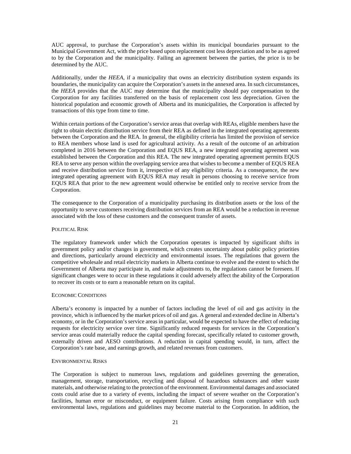AUC approval, to purchase the Corporation's assets within its municipal boundaries pursuant to the Municipal Government Act, with the price based upon replacement cost less depreciation and to be as agreed to by the Corporation and the municipality. Failing an agreement between the parties, the price is to be determined by the AUC.

Additionally, under the *HEEA*, if a municipality that owns an electricity distribution system expands its boundaries, the municipality can acquire the Corporation's assets in the annexed area. In such circumstances, the *HEEA* provides that the AUC may determine that the municipality should pay compensation to the Corporation for any facilities transferred on the basis of replacement cost less depreciation. Given the historical population and economic growth of Alberta and its municipalities, the Corporation is affected by transactions of this type from time to time.

Within certain portions of the Corporation's service areas that overlap with REAs, eligible members have the right to obtain electric distribution service from their REA as defined in the integrated operating agreements between the Corporation and the REA. In general, the eligibility criteria has limited the provision of service to REA members whose land is used for agricultural activity. As a result of the outcome of an arbitration completed in 2016 between the Corporation and EQUS REA, a new integrated operating agreement was established between the Corporation and this REA. The new integrated operating agreement permits EQUS REA to serve any person within the overlapping service area that wishes to become a member of EQUS REA and receive distribution service from it, irrespective of any eligibility criteria. As a consequence, the new integrated operating agreement with EQUS REA may result in persons choosing to receive service from EQUS REA that prior to the new agreement would otherwise be entitled only to receive service from the Corporation.

The consequence to the Corporation of a municipality purchasing its distribution assets or the loss of the opportunity to serve customers receiving distribution services from an REA would be a reduction in revenue associated with the loss of these customers and the consequent transfer of assets.

### <span id="page-20-0"></span>POLITICAL RISK

The regulatory framework under which the Corporation operates is impacted by significant shifts in government policy and/or changes in government, which creates uncertainty about public policy priorities and directions, particularly around electricity and environmental issues. The regulations that govern the competitive wholesale and retail electricity markets in Alberta continue to evolve and the extent to which the Government of Alberta may participate in, and make adjustments to, the regulations cannot be foreseen. If significant changes were to occur in these regulations it could adversely affect the ability of the Corporation to recover its costs or to earn a reasonable return on its capital.

# <span id="page-20-1"></span>ECONOMIC CONDITIONS

Alberta's economy is impacted by a number of factors including the level of oil and gas activity in the province, which is influenced by the market prices of oil and gas. A general and extended decline in Alberta's economy, or in the Corporation's service areas in particular, would be expected to have the effect of reducing requests for electricity service over time. Significantly reduced requests for services in the Corporation's service areas could materially reduce the capital spending forecast, specifically related to customer growth, externally driven and AESO contributions. A reduction in capital spending would, in turn, affect the Corporation's rate base, and earnings growth, and related revenues from customers.

#### <span id="page-20-2"></span>ENVIRONMENTAL RISKS

The Corporation is subject to numerous laws, regulations and guidelines governing the generation, management, storage, transportation, recycling and disposal of hazardous substances and other waste materials, and otherwise relating to the protection of the environment. Environmental damages and associated costs could arise due to a variety of events, including the impact of severe weather on the Corporation's facilities, human error or misconduct, or equipment failure. Costs arising from compliance with such environmental laws, regulations and guidelines may become material to the Corporation. In addition, the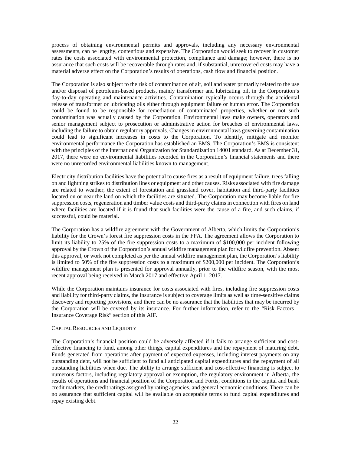process of obtaining environmental permits and approvals, including any necessary environmental assessments, can be lengthy, contentious and expensive. The Corporation would seek to recover in customer rates the costs associated with environmental protection, compliance and damage; however, there is no assurance that such costs will be recoverable through rates and, if substantial, unrecovered costs may have a material adverse effect on the Corporation's results of operations, cash flow and financial position.

The Corporation is also subject to the risk of contamination of air, soil and water primarily related to the use and/or disposal of petroleum-based products, mainly transformer and lubricating oil, in the Corporation's day-to-day operating and maintenance activities. Contamination typically occurs through the accidental release of transformer or lubricating oils either through equipment failure or human error. The Corporation could be found to be responsible for remediation of contaminated properties, whether or not such contamination was actually caused by the Corporation. Environmental laws make owners, operators and senior management subject to prosecution or administrative action for breaches of environmental laws, including the failure to obtain regulatory approvals. Changes in environmental laws governing contamination could lead to significant increases in costs to the Corporation. To identify, mitigate and monitor environmental performance the Corporation has established an EMS. The Corporation's EMS is consistent with the principles of the International Organization for Standardization 14001 standard. As at December 31, 2017, there were no environmental liabilities recorded in the Corporation's financial statements and there were no unrecorded environmental liabilities known to management.

Electricity distribution facilities have the potential to cause fires as a result of equipment failure, trees falling on and lightning strikes to distribution lines or equipment and other causes. Risks associated with fire damage are related to weather, the extent of forestation and grassland cover, habitation and third-party facilities located on or near the land on which the facilities are situated. The Corporation may become liable for fire suppression costs, regeneration and timber value costs and third-party claims in connection with fires on land where facilities are located if it is found that such facilities were the cause of a fire, and such claims, if successful, could be material.

The Corporation has a wildfire agreement with the Government of Alberta, which limits the Corporation's liability for the Crown's forest fire suppression costs in the FPA. The agreement allows the Corporation to limit its liability to 25% of the fire suppression costs to a maximum of \$100,000 per incident following approval by the Crown of the Corporation's annual wildfire management plan for wildfire prevention. Absent this approval, or work not completed as per the annual wildfire management plan, the Corporation's liability is limited to 50% of the fire suppression costs to a maximum of \$200,000 per incident. The Corporation's wildfire management plan is presented for approval annually, prior to the wildfire season, with the most recent approval being received in March 2017 and effective April 1, 2017.

While the Corporation maintains insurance for costs associated with fires, including fire suppression costs and liability for third-party claims, the insurance is subject to coverage limits as well as time-sensitive claims discovery and reporting provisions, and there can be no assurance that the liabilities that may be incurred by the Corporation will be covered by its insurance. For further information, refer to the "Risk Factors – Insurance Coverage Risk" section of this AIF.

# <span id="page-21-0"></span>CAPITAL RESOURCES AND LIQUIDITY

The Corporation's financial position could be adversely affected if it fails to arrange sufficient and costeffective financing to fund, among other things, capital expenditures and the repayment of maturing debt. Funds generated from operations after payment of expected expenses, including interest payments on any outstanding debt, will not be sufficient to fund all anticipated capital expenditures and the repayment of all outstanding liabilities when due. The ability to arrange sufficient and cost-effective financing is subject to numerous factors, including regulatory approval or exemption, the regulatory environment in Alberta, the results of operations and financial position of the Corporation and Fortis, conditions in the capital and bank credit markets, the credit ratings assigned by rating agencies, and general economic conditions. There can be no assurance that sufficient capital will be available on acceptable terms to fund capital expenditures and repay existing debt.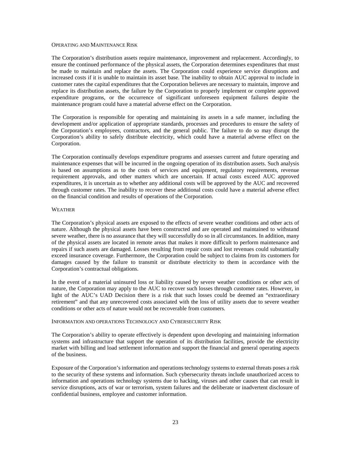# <span id="page-22-0"></span>OPERATING AND MAINTENANCE RISK

The Corporation's distribution assets require maintenance, improvement and replacement. Accordingly, to ensure the continued performance of the physical assets, the Corporation determines expenditures that must be made to maintain and replace the assets. The Corporation could experience service disruptions and increased costs if it is unable to maintain its asset base. The inability to obtain AUC approval to include in customer rates the capital expenditures that the Corporation believes are necessary to maintain, improve and replace its distribution assets, the failure by the Corporation to properly implement or complete approved expenditure programs, or the occurrence of significant unforeseen equipment failures despite the maintenance program could have a material adverse effect on the Corporation.

The Corporation is responsible for operating and maintaining its assets in a safe manner, including the development and/or application of appropriate standards, processes and procedures to ensure the safety of the Corporation's employees, contractors, and the general public. The failure to do so may disrupt the Corporation's ability to safely distribute electricity, which could have a material adverse effect on the Corporation.

The Corporation continually develops expenditure programs and assesses current and future operating and maintenance expenses that will be incurred in the ongoing operation of its distribution assets. Such analysis is based on assumptions as to the costs of services and equipment, regulatory requirements, revenue requirement approvals, and other matters which are uncertain. If actual costs exceed AUC approved expenditures, it is uncertain as to whether any additional costs will be approved by the AUC and recovered through customer rates. The inability to recover these additional costs could have a material adverse effect on the financial condition and results of operations of the Corporation.

#### <span id="page-22-1"></span>WEATHER

The Corporation's physical assets are exposed to the effects of severe weather conditions and other acts of nature. Although the physical assets have been constructed and are operated and maintained to withstand severe weather, there is no assurance that they will successfully do so in all circumstances. In addition, many of the physical assets are located in remote areas that makes it more difficult to perform maintenance and repairs if such assets are damaged. Losses resulting from repair costs and lost revenues could substantially exceed insurance coverage. Furthermore, the Corporation could be subject to claims from its customers for damages caused by the failure to transmit or distribute electricity to them in accordance with the Corporation's contractual obligations.

In the event of a material uninsured loss or liability caused by severe weather conditions or other acts of nature, the Corporation may apply to the AUC to recover such losses through customer rates. However, in light of the AUC's UAD Decision there is a risk that such losses could be deemed an "extraordinary retirement" and that any unrecovered costs associated with the loss of utility assets due to severe weather conditions or other acts of nature would not be recoverable from customers.

# <span id="page-22-2"></span>INFORMATION AND OPERATIONS TECHNOLOGY AND CYBERSECURITY RISK

The Corporation's ability to operate effectively is dependent upon developing and maintaining information systems and infrastructure that support the operation of its distribution facilities, provide the electricity market with billing and load settlement information and support the financial and general operating aspects of the business.

Exposure of the Corporation's information and operations technology systems to external threats poses a risk to the security of these systems and information. Such cybersecurity threats include unauthorized access to information and operations technology systems due to hacking, viruses and other causes that can result in service disruptions, acts of war or terrorism, system failures and the deliberate or inadvertent disclosure of confidential business, employee and customer information.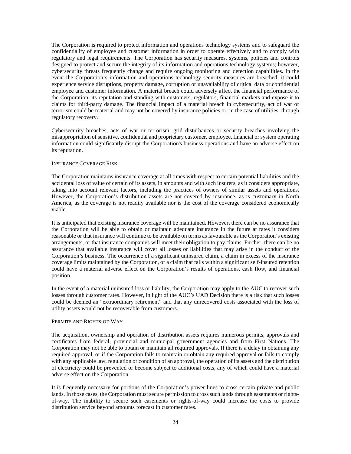The Corporation is required to protect information and operations technology systems and to safeguard the confidentiality of employee and customer information in order to operate effectively and to comply with regulatory and legal requirements. The Corporation has security measures, systems, policies and controls designed to protect and secure the integrity of its information and operations technology systems; however, cybersecurity threats frequently change and require ongoing monitoring and detection capabilities. In the event the Corporation's information and operations technology security measures are breached, it could experience service disruptions, property damage, corruption or unavailability of critical data or confidential employee and customer information. A material breach could adversely affect the financial performance of the Corporation, its reputation and standing with customers, regulators, financial markets and expose it to claims for third-party damage. The financial impact of a material breach in cybersecurity, act of war or terrorism could be material and may not be covered by insurance policies or, in the case of utilities, through regulatory recovery.

Cybersecurity breaches, acts of war or terrorism, grid disturbances or security breaches involving the misappropriation of sensitive, confidential and proprietary customer, employee, financial or system operating information could significantly disrupt the Corporation's business operations and have an adverse effect on its reputation.

### <span id="page-23-0"></span>INSURANCE COVERAGE RISK

The Corporation maintains insurance coverage at all times with respect to certain potential liabilities and the accidental loss of value of certain of its assets, in amounts and with such insurers, as it considers appropriate, taking into account relevant factors, including the practices of owners of similar assets and operations. However, the Corporation's distribution assets are not covered by insurance, as is customary in North America, as the coverage is not readily available nor is the cost of the coverage considered economically viable.

It is anticipated that existing insurance coverage will be maintained. However, there can be no assurance that the Corporation will be able to obtain or maintain adequate insurance in the future at rates it considers reasonable or that insurance will continue to be available on terms as favourable as the Corporation's existing arrangements, or that insurance companies will meet their obligation to pay claims. Further, there can be no assurance that available insurance will cover all losses or liabilities that may arise in the conduct of the Corporation's business. The occurrence of a significant uninsured claim, a claim in excess of the insurance coverage limits maintained by the Corporation, or a claim that falls within a significant self-insured retention could have a material adverse effect on the Corporation's results of operations, cash flow, and financial position.

In the event of a material uninsured loss or liability, the Corporation may apply to the AUC to recover such losses through customer rates. However, in light of the AUC's UAD Decision there is a risk that such losses could be deemed an "extraordinary retirement" and that any unrecovered costs associated with the loss of utility assets would not be recoverable from customers.

# <span id="page-23-1"></span>PERMITS AND RIGHTS-OF-WAY

The acquisition, ownership and operation of distribution assets requires numerous permits, approvals and certificates from federal, provincial and municipal government agencies and from First Nations. The Corporation may not be able to obtain or maintain all required approvals. If there is a delay in obtaining any required approval, or if the Corporation fails to maintain or obtain any required approval or fails to comply with any applicable law, regulation or condition of an approval, the operation of its assets and the distribution of electricity could be prevented or become subject to additional costs, any of which could have a material adverse effect on the Corporation.

It is frequently necessary for portions of the Corporation's power lines to cross certain private and public lands. In those cases, the Corporation must secure permission to cross such lands through easements or rightsof-way. The inability to secure such easements or rights-of-way could increase the costs to provide distribution service beyond amounts forecast in customer rates.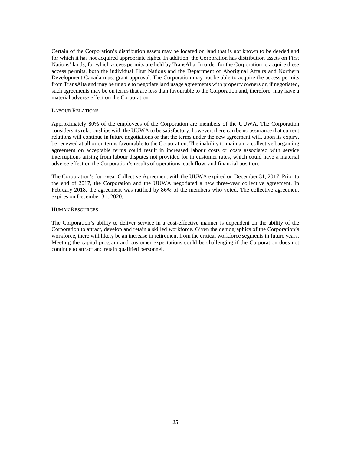Certain of the Corporation's distribution assets may be located on land that is not known to be deeded and for which it has not acquired appropriate rights. In addition, the Corporation has distribution assets on First Nations' lands, for which access permits are held by TransAlta. In order for the Corporation to acquire these access permits, both the individual First Nations and the Department of Aboriginal Affairs and Northern Development Canada must grant approval. The Corporation may not be able to acquire the access permits from TransAlta and may be unable to negotiate land usage agreements with property owners or, if negotiated, such agreements may be on terms that are less than favourable to the Corporation and, therefore, may have a material adverse effect on the Corporation.

### <span id="page-24-0"></span>LABOUR RELATIONS

Approximately 80% of the employees of the Corporation are members of the UUWA. The Corporation considers its relationships with the UUWA to be satisfactory; however, there can be no assurance that current relations will continue in future negotiations or that the terms under the new agreement will, upon its expiry, be renewed at all or on terms favourable to the Corporation. The inability to maintain a collective bargaining agreement on acceptable terms could result in increased labour costs or costs associated with service interruptions arising from labour disputes not provided for in customer rates, which could have a material adverse effect on the Corporation's results of operations, cash flow, and financial position.

The Corporation's four-year Collective Agreement with the UUWA expired on December 31, 2017. Prior to the end of 2017, the Corporation and the UUWA negotiated a new three-year collective agreement. In February 2018, the agreement was ratified by 86% of the members who voted. The collective agreement expires on December 31, 2020.

### <span id="page-24-1"></span>HUMAN RESOURCES

The Corporation's ability to deliver service in a cost-effective manner is dependent on the ability of the Corporation to attract, develop and retain a skilled workforce. Given the demographics of the Corporation's workforce, there will likely be an increase in retirement from the critical workforce segments in future years. Meeting the capital program and customer expectations could be challenging if the Corporation does not continue to attract and retain qualified personnel.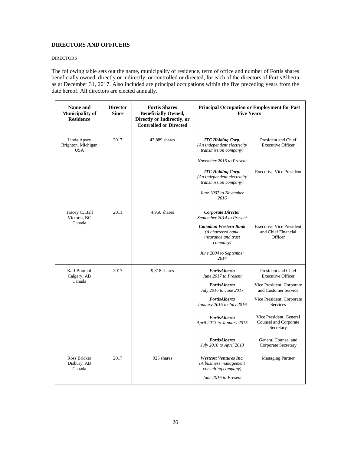# <span id="page-25-0"></span>**DIRECTORS AND OFFICERS**

# <span id="page-25-1"></span>DIRECTORS

The following table sets out the name, municipality of residence, term of office and number of Fortis shares beneficially owned, directly or indirectly, or controlled or directed, for each of the directors of FortisAlberta as at December 31, 2017. Also included are principal occupations within the five preceding years from the date hereof. All directors are elected annually.

| Name and<br><b>Municipality of</b><br><b>Residence</b> | <b>Director</b><br><b>Since</b> | <b>Fortis Shares</b><br><b>Beneficially Owned,</b><br>Directly or Indirectly, or<br><b>Controlled or Directed</b> | Principal Occupation or Employment for Past<br><b>Five Years</b>                      |                                                                   |
|--------------------------------------------------------|---------------------------------|-------------------------------------------------------------------------------------------------------------------|---------------------------------------------------------------------------------------|-------------------------------------------------------------------|
| Linda Apsey<br>Brighton, Michigan<br><b>USA</b>        | 2017                            | 43,889 shares                                                                                                     | <b>ITC Holding Corp.</b><br>(An independent electricity<br>transmission company)      | President and Chief<br><b>Executive Officer</b>                   |
|                                                        |                                 |                                                                                                                   | November 2016 to Present                                                              |                                                                   |
|                                                        |                                 |                                                                                                                   | <b>ITC Holding Corp.</b><br>(An independent electricity<br>transmission company)      | <b>Executive Vice President</b>                                   |
|                                                        |                                 |                                                                                                                   | June 2007 to November<br>2016                                                         |                                                                   |
| Tracey C. Ball<br>Victoria, BC<br>Canada               | 2011                            | 4,950 shares                                                                                                      | <b>Corporate Director</b><br>September 2014 to Present                                |                                                                   |
|                                                        |                                 |                                                                                                                   | <b>Canadian Western Bank</b><br>(A chartered bank.<br>insurance and trust<br>company) | <b>Executive Vice President</b><br>and Chief Financial<br>Officer |
|                                                        |                                 |                                                                                                                   | June 2004 to September<br>2014                                                        |                                                                   |
| Karl Bomhof<br>Calgary, AB<br>Canada                   | 2017                            | 9,818 shares                                                                                                      | FortisAlberta<br>June 2017 to Present                                                 | President and Chief<br><b>Executive Officer</b>                   |
|                                                        |                                 |                                                                                                                   | FortisAlberta<br>July 2016 to June 2017                                               | Vice President, Corporate<br>and Customer Service                 |
|                                                        |                                 |                                                                                                                   | FortisAlberta<br>January 2015 to July 2016                                            | Vice President, Corporate<br><b>Services</b>                      |
|                                                        |                                 |                                                                                                                   | FortisAlberta<br>April 2013 to January 2015                                           | Vice President, General<br>Counsel and Corporate<br>Secretary     |
|                                                        |                                 |                                                                                                                   | FortisAlberta<br>July 2010 to April 2013                                              | General Counsel and<br>Corporate Secretary                        |
| Ross Bricker<br>Disbury, AB<br>Canada                  | 2017                            | 925 shares                                                                                                        | <b>Westcott Ventures Inc.</b><br>(A business management<br>consulting company)        | <b>Managing Partner</b>                                           |
|                                                        |                                 |                                                                                                                   | June 2016 to Present                                                                  |                                                                   |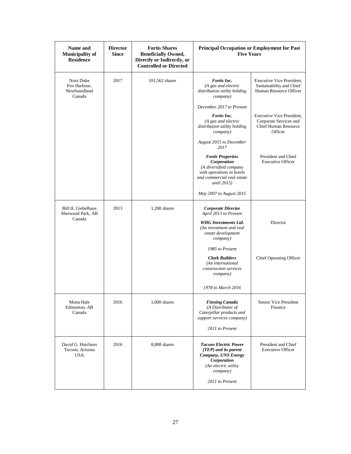| Name and<br><b>Municipality of</b><br><b>Residence</b> | <b>Director</b><br><b>Since</b> | <b>Fortis Shares</b><br><b>Beneficially Owned,</b><br>Directly or Indirectly, or<br><b>Controlled or Directed</b> | <b>Principal Occupation or Employment for Past</b><br><b>Five Years</b>                                                                            |                                                                                               |
|--------------------------------------------------------|---------------------------------|-------------------------------------------------------------------------------------------------------------------|----------------------------------------------------------------------------------------------------------------------------------------------------|-----------------------------------------------------------------------------------------------|
| Nora Duke<br>Fox Harbour,<br>Newfoundland<br>Canada    | 2017                            | 101,562 shares                                                                                                    | Fortis Inc.<br>(A gas and electric<br>distribution utility holding<br>company)                                                                     | Executive Vice President,<br>Sustainability and Chief<br>Human Resource Officer               |
|                                                        |                                 |                                                                                                                   | December 2017 to Present                                                                                                                           |                                                                                               |
|                                                        |                                 |                                                                                                                   | Fortis Inc.<br>(A gas and electric<br>distribution utility holding<br>company)                                                                     | Executive Vice President,<br>Corporate Services and<br><b>Chief Human Resource</b><br>Officer |
|                                                        |                                 |                                                                                                                   | August 2015 to December<br>2017                                                                                                                    |                                                                                               |
|                                                        |                                 |                                                                                                                   | <b>Fortis Properties</b><br>Corporation<br>(A diversified company<br>with operations in hotels<br>and commercial real estate<br><i>until</i> 2015) | President and Chief<br><b>Executive Officer</b>                                               |
|                                                        |                                 |                                                                                                                   | May 2007 to August 2015                                                                                                                            |                                                                                               |
| Bill H. Giebelhaus<br>Sherwood Park, AB                | 2013                            | $1,200$ shares                                                                                                    | <b>Corporate Director</b><br>April 2013 to Present                                                                                                 |                                                                                               |
| Canada                                                 |                                 |                                                                                                                   | <b>WHG</b> Investments Ltd.<br>(An investment and real<br>estate development<br>company)                                                           | Director                                                                                      |
|                                                        |                                 |                                                                                                                   | 1985 to Present                                                                                                                                    |                                                                                               |
|                                                        |                                 |                                                                                                                   | <b>Clark Builders</b><br>(An international<br>construction services<br>company)                                                                    | Chief Operating Officer                                                                       |
|                                                        |                                 |                                                                                                                   | 1978 to March 2016                                                                                                                                 |                                                                                               |
| Mona Hale<br>Edmonton, AB<br>Canada                    | 2016                            | $1,000$ shares                                                                                                    | <b>Finning Canada</b><br>(A Distributor of<br>Caterpillar products and<br>support services company)                                                | Senior Vice President<br>Finance                                                              |
|                                                        |                                 |                                                                                                                   | 2011 to Present                                                                                                                                    |                                                                                               |
| David G. Hutchens<br>Tucson, Arizona<br><b>USA</b>     | 2016                            | 8,888 shares                                                                                                      | <b>Tucson Electric Power</b><br>(TEP) and its parent<br>Company, UNS Energy<br>Corporation<br>(An electric utility<br>company)                     | President and Chief<br><b>Executive Officer</b>                                               |
|                                                        |                                 |                                                                                                                   | 2011 to Present                                                                                                                                    |                                                                                               |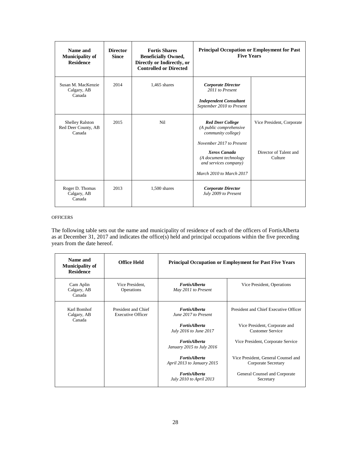| Name and<br><b>Municipality of</b><br><b>Residence</b>  | <b>Director</b><br><b>Since</b> | <b>Fortis Shares</b><br><b>Beneficially Owned,</b><br>Directly or Indirectly, or<br><b>Controlled or Directed</b> | <b>Principal Occupation or Employment for Past</b><br><b>Five Years</b>                                                                                                                             |                                                                |
|---------------------------------------------------------|---------------------------------|-------------------------------------------------------------------------------------------------------------------|-----------------------------------------------------------------------------------------------------------------------------------------------------------------------------------------------------|----------------------------------------------------------------|
| Susan M. MacKenzie<br>Calgary, AB<br>Canada             | 2014                            | $1.465$ shares                                                                                                    | <b>Corporate Director</b><br>2011 to Present<br><b>Independent Consultant</b><br>September 2010 to Present                                                                                          |                                                                |
| <b>Shelley Ralston</b><br>Red Deer County, AB<br>Canada | 2015                            | Ni1                                                                                                               | <b>Red Deer College</b><br>(A public comprehensive<br>community college)<br>November 2017 to Present<br>Xerox Canada<br>(A document technology<br>and services company)<br>March 2010 to March 2017 | Vice President, Corporate<br>Director of Talent and<br>Culture |
| Roger D. Thomas<br>Calgary, AB<br>Canada                | 2013                            | 1,500 shares                                                                                                      | <b>Corporate Director</b><br>July 2009 to Present                                                                                                                                                   |                                                                |

# <span id="page-27-0"></span>**OFFICERS**

The following table sets out the name and municipality of residence of each of the officers of FortisAlberta as at December 31, 2017 and indicates the office(s) held and principal occupations within the five preceding years from the date hereof.

| Name and<br><b>Municipality of</b><br><b>Residence</b> | <b>Office Held</b>                              |                                                    | <b>Principal Occupation or Employment for Past Five Years</b> |
|--------------------------------------------------------|-------------------------------------------------|----------------------------------------------------|---------------------------------------------------------------|
| Cam Aplin<br>Calgary, AB<br>Canada                     | Vice President.<br>Operations                   | <b>FortisAlberta</b><br>May 2011 to Present        | Vice President, Operations                                    |
| Karl Bomhof<br>Calgary, AB<br>Canada                   | President and Chief<br><b>Executive Officer</b> | <b>FortisAlberta</b><br>June 2017 to Present       | President and Chief Executive Officer                         |
|                                                        |                                                 | <b>FortisAlberta</b><br>July 2016 to June 2017     | Vice President, Corporate and<br><b>Customer Service</b>      |
|                                                        |                                                 | <b>FortisAlberta</b><br>January 2015 to July 2016  | Vice President, Corporate Service                             |
|                                                        |                                                 | <b>FortisAlberta</b><br>April 2013 to January 2015 | Vice President, General Counsel and<br>Corporate Secretary    |
|                                                        |                                                 | <b>FortisAlberta</b><br>July 2010 to April 2013    | General Counsel and Corporate<br>Secretary                    |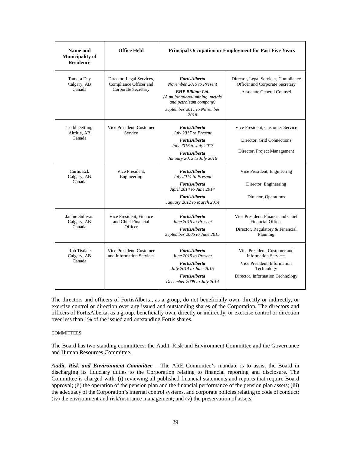| Name and<br><b>Municipality of</b><br><b>Residence</b> | <b>Office Held</b>                                                         | Principal Occupation or Employment for Past Five Years                                                                                                                          |                                                                                                                                              |  |
|--------------------------------------------------------|----------------------------------------------------------------------------|---------------------------------------------------------------------------------------------------------------------------------------------------------------------------------|----------------------------------------------------------------------------------------------------------------------------------------------|--|
| Tamara Day<br>Calgary, AB<br>Canada                    | Director, Legal Services,<br>Compliance Officer and<br>Corporate Secretary | <b>FortisAlberta</b><br>November 2015 to Present<br><b>BHP Billiton Ltd.</b><br>(A multinational mining, metals<br>and petroleum company)<br>September 2011 to November<br>2016 | Director, Legal Services, Compliance<br>Officer and Corporate Secretary<br><b>Associate General Counsel</b>                                  |  |
| <b>Todd Dettling</b><br>Airdrie, AB<br>Canada          | Vice President, Customer<br>Service                                        | <b>FortisAlberta</b><br>July 2017 to Present<br>FortisAlberta<br>July 2016 to July 2017<br><b>FortisAlberta</b><br>January 2012 to July 2016                                    | Vice President, Customer Service<br>Director, Grid Connections<br>Director, Project Management                                               |  |
| Curtis Eck<br>Calgary, AB<br>Canada                    | Vice President.<br>Engineering                                             | FortisAlberta<br>July 2014 to Present<br>FortisAlberta<br>April 2014 to June 2014<br>FortisAlberta<br>January 2012 to March 2014                                                | Vice President, Engineering<br>Director, Engineering<br>Director, Operations                                                                 |  |
| Janine Sullivan<br>Calgary, AB<br>Canada               | Vice President, Finance<br>and Chief Financial<br>Officer                  | <b>FortisAlberta</b><br>June 2015 to Present<br><b>FortisAlberta</b><br>September 2006 to June 2015                                                                             | Vice President. Finance and Chief<br><b>Financial Officer</b><br>Director, Regulatory & Financial<br>Planning                                |  |
| Rob Tisdale<br>Calgary, AB<br>Canada                   | Vice President, Customer<br>and Information Services                       | <b>FortisAlberta</b><br>June 2015 to Present<br><b>FortisAlberta</b><br>July 2014 to June 2015<br>FortisAlberta<br>December 2008 to July 2014                                   | Vice President, Customer and<br><b>Information Services</b><br>Vice President, Information<br>Technology<br>Director, Information Technology |  |

The directors and officers of FortisAlberta, as a group, do not beneficially own, directly or indirectly, or exercise control or direction over any issued and outstanding shares of the Corporation. The directors and officers of FortisAlberta, as a group, beneficially own, directly or indirectly, or exercise control or direction over less than 1% of the issued and outstanding Fortis shares.

# <span id="page-28-0"></span>**COMMITTEES**

The Board has two standing committees: the Audit, Risk and Environment Committee and the Governance and Human Resources Committee.

*Audit, Risk and Environment Committee* – The ARE Committee's mandate is to assist the Board in discharging its fiduciary duties to the Corporation relating to financial reporting and disclosure. The Committee is charged with: (i) reviewing all published financial statements and reports that require Board approval; (ii) the operation of the pension plan and the financial performance of the pension plan assets; (iii) the adequacy of the Corporation's internal control systems, and corporate policies relating to code of conduct; (iv) the environment and risk/insurance management; and (v) the preservation of assets.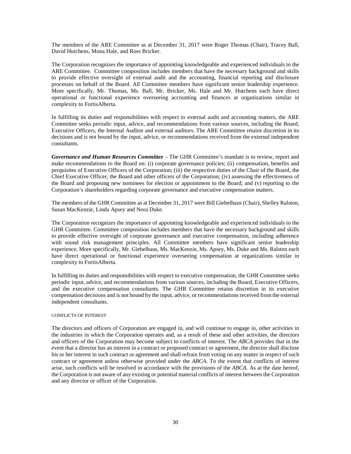The members of the ARE Committee as at December 31, 2017 were Roger Thomas (Chair), Tracey Ball, David Hutchens, Mona Hale, and Ross Bricker.

The Corporation recognizes the importance of appointing knowledgeable and experienced individuals to the ARE Committee. Committee composition includes members that have the necessary background and skills to provide effective oversight of external audit and the accounting, financial reporting and disclosure processes on behalf of the Board. All Committee members have significant senior leadership experience. More specifically, Mr. Thomas, Ms. Ball, Mr. Bricker, Ms. Hale and Mr. Hutchens each have direct operational or functional experience overseeing accounting and finances at organizations similar in complexity to FortisAlberta.

In fulfilling its duties and responsibilities with respect to external audit and accounting matters, the ARE Committee seeks periodic input, advice, and recommendations from various sources, including the Board, Executive Officers, the Internal Auditor and external auditors. The ARE Committee retains discretion in its decisions and is not bound by the input, advice, or recommendations received from the external independent consultants.

*Governance and Human Resources Committee* – The GHR Committee's mandate is to review, report and make recommendations to the Board on: (i) corporate governance policies; (ii) compensation, benefits and perquisites of Executive Officers of the Corporation; (iii) the respective duties of the Chair of the Board, the Chief Executive Officer, the Board and other officers of the Corporation; (iv) assessing the effectiveness of the Board and proposing new nominees for election or appointment to the Board; and (v) reporting to the Corporation's shareholders regarding corporate governance and executive compensation matters.

The members of the GHR Committee as at December 31, 2017 were Bill Giebelhaus (Chair), Shelley Ralston, Susan MacKenzie, Linda Apsey and Nora Duke.

The Corporation recognizes the importance of appointing knowledgeable and experienced individuals to the GHR Committee. Committee composition includes members that have the necessary background and skills to provide effective oversight of corporate governance and executive compensation, including adherence with sound risk management principles. All Committee members have significant senior leadership experience. More specifically, Mr. Giebelhaus, Ms. MacKenzie, Ms. Apsey, Ms. Duke and Ms. Ralston each have direct operational or functional experience overseeing compensation at organizations similar in complexity to FortisAlberta.

In fulfilling its duties and responsibilities with respect to executive compensation, the GHR Committee seeks periodic input, advice, and recommendations from various sources, including the Board, Executive Officers, and the executive compensation consultants. The GHR Committee retains discretion in its executive compensation decisions and is not bound by the input, advice, or recommendations received from the external independent consultants.

# <span id="page-29-0"></span>CONFLICTS OF INTEREST

The directors and officers of Corporation are engaged in, and will continue to engage in, other activities in the industries in which the Corporation operates and, as a result of these and other activities, the directors and officers of the Corporation may become subject to conflicts of interest. The *ABCA* provides that in the event that a director has an interest in a contract or proposed contract or agreement, the director shall disclose his or her interest in such contract or agreement and shall refrain from voting on any matter in respect of such contract or agreement unless otherwise provided under the *ABCA*. To the extent that conflicts of interest arise, such conflicts will be resolved in accordance with the provisions of the *ABCA*. As at the date hereof, the Corporation is not aware of any existing or potential material conflicts of interest between the Corporation and any director or officer of the Corporation.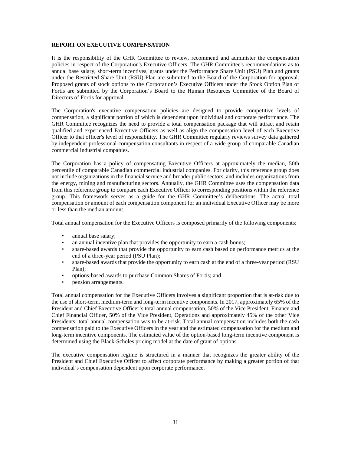# <span id="page-30-0"></span>**REPORT ON EXECUTIVE COMPENSATION**

It is the responsibility of the GHR Committee to review, recommend and administer the compensation policies in respect of the Corporation's Executive Officers. The GHR Committee's recommendations as to annual base salary, short-term incentives, grants under the Performance Share Unit (PSU) Plan and grants under the Restricted Share Unit (RSU) Plan are submitted to the Board of the Corporation for approval. Proposed grants of stock options to the Corporation's Executive Officers under the Stock Option Plan of Fortis are submitted by the Corporation's Board to the Human Resources Committee of the Board of Directors of Fortis for approval.

The Corporation's executive compensation policies are designed to provide competitive levels of compensation, a significant portion of which is dependent upon individual and corporate performance. The GHR Committee recognizes the need to provide a total compensation package that will attract and retain qualified and experienced Executive Officers as well as align the compensation level of each Executive Officer to that officer's level of responsibility. The GHR Committee regularly reviews survey data gathered by independent professional compensation consultants in respect of a wide group of comparable Canadian commercial industrial companies.

The Corporation has a policy of compensating Executive Officers at approximately the median, 50th percentile of comparable Canadian commercial industrial companies. For clarity, this reference group does not include organizations in the financial service and broader public sectors, and includes organizations from the energy, mining and manufacturing sectors. Annually, the GHR Committee uses the compensation data from this reference group to compare each Executive Officer to corresponding positions within the reference group. This framework serves as a guide for the GHR Committee's deliberations. The actual total compensation or amount of each compensation component for an individual Executive Officer may be more or less than the median amount.

Total annual compensation for the Executive Officers is composed primarily of the following components:

- annual base salary;
- an annual incentive plan that provides the opportunity to earn a cash bonus;
- share-based awards that provide the opportunity to earn cash based on performance metrics at the end of a three-year period (PSU Plan);
- share-based awards that provide the opportunity to earn cash at the end of a three-year period (RSU) Plan);
- options-based awards to purchase Common Shares of Fortis; and
- pension arrangements.

Total annual compensation for the Executive Officers involves a significant proportion that is at-risk due to the use of short-term, medium-term and long-term incentive components. In 2017, approximately 65% of the President and Chief Executive Officer's total annual compensation, 50% of the Vice President, Finance and Chief Financial Officer, 50% of the Vice President, Operations and approximately 45% of the other Vice Presidents' total annual compensation was to be at-risk. Total annual compensation includes both the cash compensation paid to the Executive Officers in the year and the estimated compensation for the medium and long-term incentive components. The estimated value of the option-based long-term incentive component is determined using the Black-Scholes pricing model at the date of grant of options.

The executive compensation regime is structured in a manner that recognizes the greater ability of the President and Chief Executive Officer to affect corporate performance by making a greater portion of that individual's compensation dependent upon corporate performance.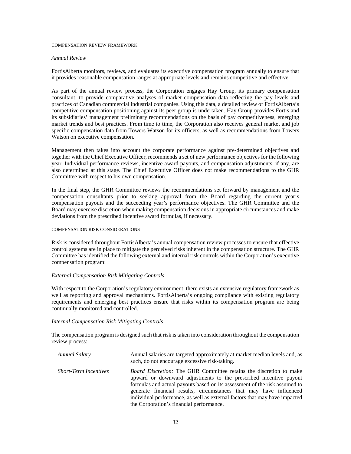#### <span id="page-31-0"></span>COMPENSATION REVIEW FRAMEWORK

#### *Annual Review*

FortisAlberta monitors, reviews, and evaluates its executive compensation program annually to ensure that it provides reasonable compensation ranges at appropriate levels and remains competitive and effective.

As part of the annual review process, the Corporation engages Hay Group, its primary compensation consultant, to provide comparative analyses of market compensation data reflecting the pay levels and practices of Canadian commercial industrial companies. Using this data, a detailed review of FortisAlberta's competitive compensation positioning against its peer group is undertaken. Hay Group provides Fortis and its subsidiaries' management preliminary recommendations on the basis of pay competitiveness, emerging market trends and best practices. From time to time, the Corporation also receives general market and job specific compensation data from Towers Watson for its officers, as well as recommendations from Towers Watson on executive compensation.

Management then takes into account the corporate performance against pre-determined objectives and together with the Chief Executive Officer, recommends a set of new performance objectives for the following year. Individual performance reviews, incentive award payouts, and compensation adjustments, if any, are also determined at this stage. The Chief Executive Officer does not make recommendations to the GHR Committee with respect to his own compensation.

In the final step, the GHR Committee reviews the recommendations set forward by management and the compensation consultants prior to seeking approval from the Board regarding the current year's compensation payouts and the succeeding year's performance objectives. The GHR Committee and the Board may exercise discretion when making compensation decisions in appropriate circumstances and make deviations from the prescribed incentive award formulas, if necessary.

#### <span id="page-31-1"></span>COMPENSATION RISK CONSIDERATIONS

Risk is considered throughout FortisAlberta's annual compensation review processes to ensure that effective control systems are in place to mitigate the perceived risks inherent in the compensation structure. The GHR Committee has identified the following external and internal risk controls within the Corporation's executive compensation program:

# *External Compensation Risk Mitigating Controls*

With respect to the Corporation's regulatory environment, there exists an extensive regulatory framework as well as reporting and approval mechanisms. FortisAlberta's ongoing compliance with existing regulatory requirements and emerging best practices ensure that risks within its compensation program are being continually monitored and controlled.

# *Internal Compensation Risk Mitigating Controls*

The compensation program is designed such that risk is taken into consideration throughout the compensation review process:

| Annual Salary                | Annual salaries are targeted approximately at market median levels and, as<br>such, do not encourage excessive risk-taking.                                                                                                                                                                                                                                                                                                  |
|------------------------------|------------------------------------------------------------------------------------------------------------------------------------------------------------------------------------------------------------------------------------------------------------------------------------------------------------------------------------------------------------------------------------------------------------------------------|
| <b>Short-Term Incentives</b> | <i>Board Discretion:</i> The GHR Committee retains the discretion to make<br>upward or downward adjustments to the prescribed incentive payout<br>formulas and actual payouts based on its assessment of the risk assumed to<br>generate financial results, circumstances that may have influenced<br>individual performance, as well as external factors that may have impacted<br>the Corporation's financial performance. |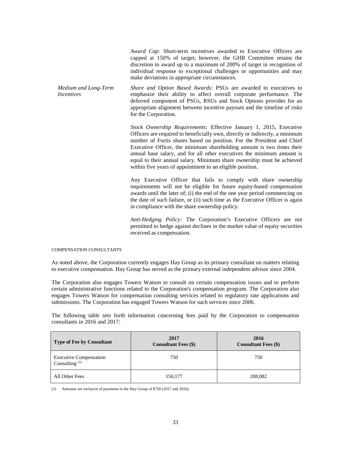*Award Cap:* Short-term incentives awarded to Executive Officers are capped at 150% of target; however, the GHR Committee retains the discretion to award up to a maximum of 200% of target in recognition of individual response to exceptional challenges or opportunities and may make deviations in appropriate circumstances.

*Medium and Long-Term Incentives Share and Option Based Awards:* PSUs are awarded to executives to emphasize their ability to affect overall corporate performance. The deferred component of PSUs, RSUs and Stock Options provides for an appropriate alignment between incentive payouts and the timeline of risks for the Corporation.

> *Stock Ownership Requirements:* Effective January 1, 2015, Executive Officers are required to beneficially own, directly or indirectly, a minimum number of Fortis shares based on position. For the President and Chief Executive Officer, the minimum shareholding amount is two times their annual base salary, and for all other executives the minimum amount is equal to their annual salary. Minimum share ownership must be achieved within five years of appointment to an eligible position.

> Any Executive Officer that fails to comply with share ownership requirements will not be eligible for future equity-based compensation awards until the later of; (i) the end of the one year period commencing on the date of such failure, or (ii) such time as the Executive Officer is again in compliance with the share ownership policy.

> *Anti-Hedging Policy:* The Corporation's Executive Officers are not permitted to hedge against declines in the market value of equity securities received as compensation.

<span id="page-32-0"></span>COMPENSATION CONSULTANTS

As noted above, the Corporation currently engages Hay Group as its primary consultant on matters relating to executive compensation. Hay Group has served as the primary external independent advisor since 2004.

The Corporation also engages Towers Watson to consult on certain compensation issues and to perform certain administrative functions related to the Corporation's compensation program. The Corporation also engages Towers Watson for compensation consulting services related to regulatory rate applications and submissions. The Corporation has engaged Towers Watson for such services since 2006.

The following table sets forth information concerning fees paid by the Corporation to compensation consultants in 2016 and 2017:

| Type of Fee by Consultant                         | 2017<br><b>Consultant Fees (\$)</b> | 2016<br><b>Consultant Fees (\$)</b> |
|---------------------------------------------------|-------------------------------------|-------------------------------------|
| <b>Executive Compensation</b><br>Consulting $(1)$ | 750                                 | 750                                 |
| All Other Fees                                    | 150,177                             | 208,082                             |

(1) Amounts are inclusive of payments to the Hay Group of \$750 (2017 and 2016).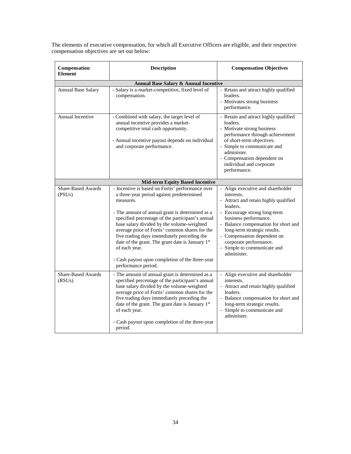The elements of executive compensation, for which all Executive Officers are eligible, and their respective compensation objectives are set out below:

| Compensation<br><b>Element</b>        | <b>Description</b>                                                                                                                                                                                                                                                                                                                                                                                                                                                                                              | <b>Compensation Objectives</b>                                                                                                                                                                                                                                                                                                               |  |  |  |  |  |  |  |
|---------------------------------------|-----------------------------------------------------------------------------------------------------------------------------------------------------------------------------------------------------------------------------------------------------------------------------------------------------------------------------------------------------------------------------------------------------------------------------------------------------------------------------------------------------------------|----------------------------------------------------------------------------------------------------------------------------------------------------------------------------------------------------------------------------------------------------------------------------------------------------------------------------------------------|--|--|--|--|--|--|--|
| Annual Base Salary & Annual Incentive |                                                                                                                                                                                                                                                                                                                                                                                                                                                                                                                 |                                                                                                                                                                                                                                                                                                                                              |  |  |  |  |  |  |  |
| <b>Annual Base Salary</b>             | - Salary is a market-competitive, fixed level of<br>compensation.                                                                                                                                                                                                                                                                                                                                                                                                                                               | - Retain and attract highly qualified<br>leaders.<br>- Motivates strong business<br>performance.                                                                                                                                                                                                                                             |  |  |  |  |  |  |  |
| Annual Incentive                      | - Combined with salary, the target level of<br>annual incentive provides a market-<br>competitive total cash opportunity.<br>- Annual incentive payout depends on individual<br>and corporate performance.                                                                                                                                                                                                                                                                                                      | - Retain and attract highly qualified<br>leaders.<br>- Motivate strong business<br>performance through achievement<br>of short-term objectives.<br>- Simple to communicate and<br>administer.<br>- Compensation dependent on<br>individual and corporate<br>performance.                                                                     |  |  |  |  |  |  |  |
|                                       | <b>Mid-term Equity Based Incentive</b>                                                                                                                                                                                                                                                                                                                                                                                                                                                                          |                                                                                                                                                                                                                                                                                                                                              |  |  |  |  |  |  |  |
| <b>Share-Based Awards</b><br>(PSUs)   | - Incentive is based on Fortis' performance over<br>a three-year period against predetermined<br>measures.<br>- The amount of annual grant is determined as a<br>specified percentage of the participant's annual<br>base salary divided by the volume-weighted<br>average price of Fortis' common shares for the<br>five trading days immediately preceding the<br>date of the grant. The grant date is January 1st<br>of each year.<br>- Cash payout upon completion of the three-year<br>performance period. | - Align executive and shareholder<br>interests.<br>- Attract and retain highly qualified<br>leaders.<br>- Encourage strong long-term<br>business performance.<br>- Balance compensation for short and<br>long-term strategic results.<br>- Compensation dependent on<br>corporate performance.<br>- Simple to communicate and<br>administer. |  |  |  |  |  |  |  |
| <b>Share-Based Awards</b><br>(RSUs)   | - The amount of annual grant is determined as a<br>specified percentage of the participant's annual<br>base salary divided by the volume-weighted<br>average price of Fortis' common shares for the<br>five trading days immediately preceding the<br>date of the grant. The grant date is January 1st<br>of each year.<br>- Cash payout upon completion of the three-year<br>period.                                                                                                                           | - Align executive and shareholder<br>interests.<br>- Attract and retain highly qualified<br>leaders.<br>- Balance compensation for short and<br>long-term strategic results.<br>- Simple to communicate and<br>administer.                                                                                                                   |  |  |  |  |  |  |  |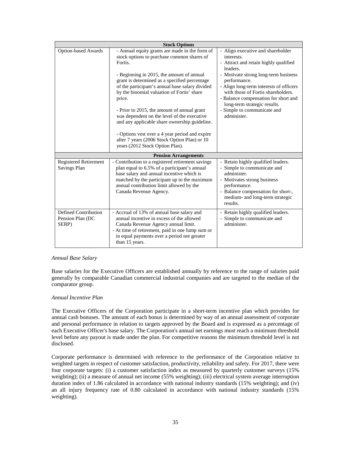|                                                   | <b>Stock Options</b>                                                                                                                                                                                                                                                                                                                                                                                                                                                                      |                                                                                                                                                                                                                                                             |
|---------------------------------------------------|-------------------------------------------------------------------------------------------------------------------------------------------------------------------------------------------------------------------------------------------------------------------------------------------------------------------------------------------------------------------------------------------------------------------------------------------------------------------------------------------|-------------------------------------------------------------------------------------------------------------------------------------------------------------------------------------------------------------------------------------------------------------|
| <b>Option-based Awards</b>                        | - Annual equity grants are made in the form of<br>stock options to purchase common shares of<br>Fortis.                                                                                                                                                                                                                                                                                                                                                                                   | - Align executive and shareholder<br>interests.<br>- Attract and retain highly qualified<br>leaders.                                                                                                                                                        |
|                                                   | - Beginning in 2015, the amount of annual<br>grant is determined as a specified percentage<br>of the participant's annual base salary divided<br>by the binomial valuation of Fortis' share<br>price.<br>- Prior to 2015, the amount of annual grant<br>was dependent on the level of the executive<br>and any applicable share ownership guideline.<br>- Options vest over a 4 year period and expire<br>after 7 years (2006 Stock Option Plan) or 10<br>years (2012 Stock Option Plan). | - Motivate strong long-term business<br>performance.<br>- Align long-term interests of officers<br>with those of Fortis shareholders.<br>- Balance compensation for short and<br>long-term strategic results.<br>- Simple to communicate and<br>administer. |
|                                                   | <b>Pension Arrangements</b>                                                                                                                                                                                                                                                                                                                                                                                                                                                               |                                                                                                                                                                                                                                                             |
| <b>Registered Retirement</b><br>Savings Plan      | - Contribution to a registered retirement savings<br>plan equal to 6.5% of a participant's annual<br>base salary and annual incentive which is<br>matched by the participant up to the maximum<br>annual contribution limit allowed by the<br>Canada Revenue Agency.                                                                                                                                                                                                                      | - Retain highly qualified leaders.<br>- Simple to communicate and<br>administer.<br>- Motivates strong business<br>performance.<br>- Balance compensation for short-,<br>medium- and long-term strategic<br>results.                                        |
| Defined Contribution<br>Pension Plan (DC<br>SERP) | - Accrual of 13% of annual base salary and<br>annual incentive in excess of the allowed<br>Canada Revenue Agency annual limit.<br>- At time of retirement, paid in one lump sum or<br>in equal payments over a period not greater<br>than 15 years.                                                                                                                                                                                                                                       | - Retain highly qualified leaders.<br>- Simple to communicate and<br>administer.                                                                                                                                                                            |

# *Annual Base Salary*

Base salaries for the Executive Officers are established annually by reference to the range of salaries paid generally by comparable Canadian commercial industrial companies and are targeted to the median of the comparator group.

# *Annual Incentive Plan*

The Executive Officers of the Corporation participate in a short-term incentive plan which provides for annual cash bonuses. The amount of each bonus is determined by way of an annual assessment of corporate and personal performance in relation to targets approved by the Board and is expressed as a percentage of each Executive Officer's base salary. The Corporation's annual net earnings must reach a minimum threshold level before any payout is made under the plan. For competitive reasons the minimum threshold level is not disclosed.

Corporate performance is determined with reference to the performance of the Corporation relative to weighted targets in respect of customer satisfaction, productivity, reliability and safety. For 2017, there were four corporate targets: (i) a customer satisfaction index as measured by quarterly customer surveys (15% weighting); (ii) a measure of annual net income (55% weighting); (iii) electrical system average interruption duration index of 1.86 calculated in accordance with national industry standards (15% weighting); and (iv) an all injury frequency rate of 0.80 calculated in accordance with national industry standards (15% weighting).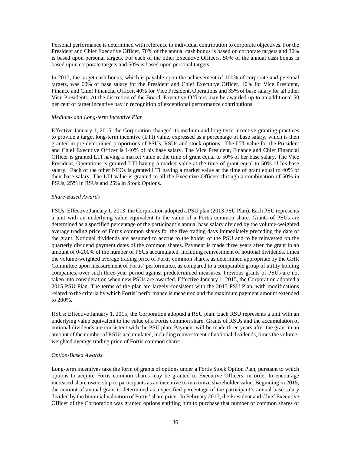Personal performance is determined with reference to individual contribution to corporate objectives. For the President and Chief Executive Officer, 70% of the annual cash bonus is based on corporate targets and 30% is based upon personal targets. For each of the other Executive Officers, 50% of the annual cash bonus is based upon corporate targets and 50% is based upon personal targets.

In 2017, the target cash bonus, which is payable upon the achievement of 100% of corporate and personal targets, was 60% of base salary for the President and Chief Executive Officer, 40% for Vice President, Finance and Chief Financial Officer, 40% for Vice President, Operations and 35% of base salary for all other Vice Presidents. At the discretion of the Board, Executive Officers may be awarded up to an additional 50 per cent of target incentive pay in recognition of exceptional performance contributions.

# *Medium- and Long-term Incentive Plan*

Effective January 1, 2015, the Corporation changed its medium and long-term incentive granting practices to provide a target long-term incentive (LTI) value, expressed as a percentage of base salary, which is then granted in pre-determined proportions of PSUs, RSUs and stock options. The LTI value for the President and Chief Executive Officer is 140% of his base salary. The Vice President, Finance and Chief Financial Officer is granted LTI having a market value at the time of grant equal to 50% of her base salary. The Vice President, Operations is granted LTI having a market value at the time of grant equal to 50% of his base salary. Each of the other NEOs is granted LTI having a market value at the time of grant equal to 40% of their base salary. The LTI value is granted to all the Executive Officers through a combination of 50% in PSUs, 25% in RSUs and 25% in Stock Options.

# *Share-Based Awards*

PSUs: Effective January 1, 2013, the Corporation adopted a PSU plan (2013 PSU Plan). Each PSU represents a unit with an underlying value equivalent to the value of a Fortis common share. Grants of PSUs are determined as a specified percentage of the participant's annual base salary divided by the volume-weighted average trading price of Fortis common shares for the five trading days immediately preceding the date of the grant. Notional dividends are assumed to accrue to the holder of the PSU and to be reinvested on the quarterly dividend payment dates of the common shares. Payment is made three years after the grant in an amount of 0-200% of the number of PSUs accumulated, including reinvestment of notional dividends, times the volume-weighted average trading price of Fortis common shares, as determined appropriate by the GHR Committee upon measurement of Fortis' performance, as compared to a comparable group of utility holding companies, over such three-year period against predetermined measures. Previous grants of PSUs are not taken into consideration when new PSUs are awarded. Effective January 1, 2015, the Corporation adopted a 2015 PSU Plan. The terms of the plan are largely consistent with the 2013 PSU Plan, with modifications related to the criteria by which Fortis' performance is measured and the maximum payment amount extended to 200%.

RSUs: Effective January 1, 2015, the Corporation adopted a RSU plan. Each RSU represents a unit with an underlying value equivalent to the value of a Fortis common share. Grants of RSUs and the accumulation of notional dividends are consistent with the PSU plan. Payment will be made three years after the grant in an amount of the number of RSUs accumulated, including reinvestment of notional dividends, times the volumeweighted average trading price of Fortis common shares.

# *Option-Based Awards*

Long-term incentives take the form of grants of options under a Fortis Stock Option Plan, pursuant to which options to acquire Fortis common shares may be granted to Executive Officers, in order to encourage increased share ownership to participants as an incentive to maximize shareholder value. Beginning in 2015, the amount of annual grant is determined as a specified percentage of the participant's annual base salary divided by the binomial valuation of Fortis' share price. In February 2017, the President and Chief Executive Officer of the Corporation was granted options entitling him to purchase that number of common shares of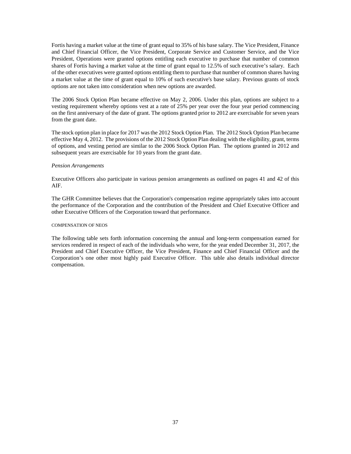Fortis having a market value at the time of grant equal to 35% of his base salary. The Vice President, Finance and Chief Financial Officer, the Vice President, Corporate Service and Customer Service, and the Vice President, Operations were granted options entitling each executive to purchase that number of common shares of Fortis having a market value at the time of grant equal to 12.5% of such executive's salary. Each of the other executives were granted options entitling them to purchase that number of common shares having a market value at the time of grant equal to 10% of such executive's base salary. Previous grants of stock options are not taken into consideration when new options are awarded.

The 2006 Stock Option Plan became effective on May 2, 2006. Under this plan, options are subject to a vesting requirement whereby options vest at a rate of 25% per year over the four year period commencing on the first anniversary of the date of grant. The options granted prior to 2012 are exercisable for seven years from the grant date.

The stock option plan in place for 2017 was the 2012 Stock Option Plan. The 2012 Stock Option Plan became effective May 4, 2012. The provisions of the 2012 Stock Option Plan dealing with the eligibility, grant, terms of options, and vesting period are similar to the 2006 Stock Option Plan. The options granted in 2012 and subsequent years are exercisable for 10 years from the grant date.

# *Pension Arrangements*

Executive Officers also participate in various pension arrangements as outlined on pages 41 and 42 of this AIF.

The GHR Committee believes that the Corporation's compensation regime appropriately takes into account the performance of the Corporation and the contribution of the President and Chief Executive Officer and other Executive Officers of the Corporation toward that performance.

### <span id="page-36-0"></span>COMPENSATION OF NEOS

The following table sets forth information concerning the annual and long-term compensation earned for services rendered in respect of each of the individuals who were, for the year ended December 31, 2017, the President and Chief Executive Officer, the Vice President, Finance and Chief Financial Officer and the Corporation's one other most highly paid Executive Officer. This table also details individual director compensation.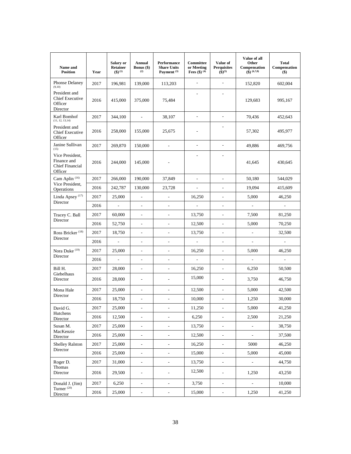| Name and<br><b>Position</b>                                         | Year | Salary or<br><b>Retainer</b><br>$(3)^{(1)}$ | <b>Annual</b><br><b>Bonus</b> $(\$)$<br>(2) | Performance<br><b>Share Units</b><br>Payment <sup>(3)</sup> | Committee<br>or Meeting<br><b>Fees</b> (\$) $(4)$ | Value of<br><b>Perquisites</b><br>$({\bf 3})^{(5)}$ | Value of all<br>Other<br>Compensation<br>$\left( \text{\$}\right)$ $(6,7,8)$ | <b>Total</b><br>Compensation<br>$($ \$ |
|---------------------------------------------------------------------|------|---------------------------------------------|---------------------------------------------|-------------------------------------------------------------|---------------------------------------------------|-----------------------------------------------------|------------------------------------------------------------------------------|----------------------------------------|
| Phonse Delaney<br>(9,10)                                            | 2017 | 196,981                                     | 139,000                                     | 113,203                                                     | $\overline{\phantom{a}}$                          | ٠                                                   | 152,820                                                                      | 602,004                                |
| President and<br><b>Chief Executive</b><br>Officer<br>Director      | 2016 | 415,000                                     | 375,000                                     | 75,484                                                      |                                                   | ٠                                                   | 129,683                                                                      | 995,167                                |
| Karl Bomhof<br>(11, 12, 13, 14)                                     | 2017 | 344,100                                     | $\overline{\phantom{a}}$                    | 38,107                                                      | $\overline{\phantom{a}}$                          | $\sim$                                              | 70,436                                                                       | 452,643                                |
| President and<br><b>Chief Executive</b><br>Officer                  | 2016 | 258,000                                     | 155,000                                     | 25,675                                                      |                                                   | $\overline{a}$                                      | 57,302                                                                       | 495,977                                |
| Janine Sullivan<br>(15)                                             | 2017 | 269,870                                     | 150,000                                     | $\overline{a}$                                              | $\overline{a}$                                    | $\overline{a}$                                      | 49,886                                                                       | 469,756                                |
| Vice President,<br>Finance and<br><b>Chief Financial</b><br>Officer | 2016 | 244,000                                     | 145,000                                     |                                                             |                                                   |                                                     | 41,645                                                                       | 430,645                                |
| Cam Aplin <sup>(16)</sup>                                           | 2017 | 266,000                                     | 190,000                                     | 37,849                                                      | $\overline{\phantom{a}}$                          | $\overline{\phantom{a}}$                            | 50.180                                                                       | 544,029                                |
| Vice President,<br>Operations                                       | 2016 | 242,787                                     | 130,000                                     | 23,728                                                      | $\overline{\phantom{a}}$                          | $\sim$                                              | 19,094                                                                       | 415,609                                |
| Linda Apsey <sup>(17)</sup>                                         | 2017 | 25,000                                      | $\overline{\phantom{a}}$                    | $\frac{1}{2}$                                               | 16,250                                            | $\overline{\phantom{a}}$                            | 5,000                                                                        | 46,250                                 |
| Director                                                            | 2016 | $\overline{\phantom{a}}$                    | $\overline{\phantom{a}}$                    | $\frac{1}{2}$                                               | $\overline{\phantom{a}}$                          | $\sim$                                              | ÷,                                                                           | $\blacksquare$                         |
| Tracey C. Ball                                                      | 2017 | 60,000                                      | $\overline{\phantom{a}}$                    | $\overline{\phantom{0}}$                                    | 13,750                                            | $\overline{\phantom{a}}$                            | 7,500                                                                        | 81,250                                 |
| Director                                                            | 2016 | 52,750                                      | $\mathcal{L}$                               | $\overline{a}$                                              | 12,500                                            | $\mathcal{L}_{\mathcal{A}}$                         | 5,000                                                                        | 70,250                                 |
| Ross Bricker <sup>(18)</sup>                                        | 2017 | 18,750                                      | $\overline{\phantom{a}}$                    | $\overline{\phantom{a}}$                                    | 13,750                                            | $\overline{\phantom{a}}$                            | $\overline{\phantom{m}}$                                                     | 32,500                                 |
| Director                                                            | 2016 | $\overline{\phantom{0}}$                    | $\overline{\phantom{a}}$                    | $\overline{\phantom{0}}$                                    |                                                   | $\overline{\phantom{a}}$                            | -                                                                            |                                        |
| Nora Duke <sup>(19)</sup>                                           | 2017 | 25,000                                      | $\overline{\phantom{a}}$                    | $\overline{\phantom{0}}$                                    | 16,250                                            | $\overline{\phantom{a}}$                            | 5,000                                                                        | 46,250                                 |
| Director                                                            | 2016 | $\bar{\phantom{a}}$                         | ÷,                                          | $\overline{a}$                                              | $\overline{\phantom{a}}$                          | $\overline{\phantom{a}}$                            | ÷,                                                                           |                                        |
| Bill H.                                                             | 2017 | 28,000                                      | $\overline{\phantom{a}}$                    | L.                                                          | 16,250                                            | ٠                                                   | 6,250                                                                        | 50,500                                 |
| Giebelhaus<br>Director                                              | 2016 | 28,000                                      | $\overline{\phantom{a}}$                    | $\overline{a}$                                              | 15,000                                            | $\overline{\phantom{a}}$                            | 3,750                                                                        | 46,750                                 |
| Mona Hale                                                           | 2017 | 25,000                                      | $\overline{\phantom{a}}$                    | $\frac{1}{2}$                                               | 12,500                                            | $\mathcal{L}_{\mathcal{A}}$                         | 5,000                                                                        | 42,500                                 |
| Director                                                            | 2016 | 18,750                                      | $\blacksquare$                              | $\overline{a}$                                              | 10,000                                            | $\overline{\phantom{a}}$                            | 1,250                                                                        | 30,000                                 |
| David G.                                                            | 2017 | 25,000                                      |                                             |                                                             | 11,250                                            | ٠                                                   | 5,000                                                                        | 41,250                                 |
| Hutchens<br>Director                                                | 2016 | 12,500                                      | $\blacksquare$                              | $\overline{\phantom{a}}$                                    | 6,250                                             | $\overline{\phantom{a}}$                            | 2,500                                                                        | 21,250                                 |
| Susan M.                                                            | 2017 | 25,000                                      | $\Box$                                      | $\overline{\phantom{a}}$                                    | 13,750                                            | $\Box$                                              | $\overline{\phantom{a}}$                                                     | 38,750                                 |
| MacKenzie<br>Director                                               | 2016 | 25,000                                      | $\Box$                                      | $\overline{\phantom{0}}$                                    | 12,500                                            | $\blacksquare$                                      | ÷,                                                                           | 37,500                                 |
| <b>Shelley Ralston</b><br>Director                                  | 2017 | 25,000                                      | $\overline{\phantom{a}}$                    | $\overline{\phantom{a}}$                                    | 16,250                                            | $\blacksquare$                                      | 5000                                                                         | 46,250                                 |
|                                                                     | 2016 | 25,000                                      | $\overline{\phantom{a}}$                    | $\overline{\phantom{m}}$                                    | 15,000                                            | $\blacksquare$                                      | 5,000                                                                        | 45,000                                 |
| Roger D.                                                            | 2017 | 31,000                                      | $\overline{\phantom{a}}$                    | $\overline{\phantom{a}}$                                    | 13,750                                            | $\overline{\phantom{a}}$                            | ÷.                                                                           | 44.750                                 |
| Thomas<br>Director                                                  | 2016 | 29,500                                      | $\Box$                                      | $\overline{a}$                                              | 12,500                                            | $\Box$                                              | 1,250                                                                        | 43,250                                 |
| Donald J. (Jim)                                                     | 2017 | 6,250                                       | $\overline{\phantom{a}}$                    | $\frac{1}{2}$                                               | 3,750                                             | $\blacksquare$                                      | $\overline{a}$                                                               | 10,000                                 |
| Turner <sup>(20)</sup><br>Director                                  | 2016 | 25,000                                      | $\overline{\phantom{a}}$                    | $\overline{\phantom{a}}$                                    | 15,000                                            | $\blacksquare$                                      | 1,250                                                                        | 41,250                                 |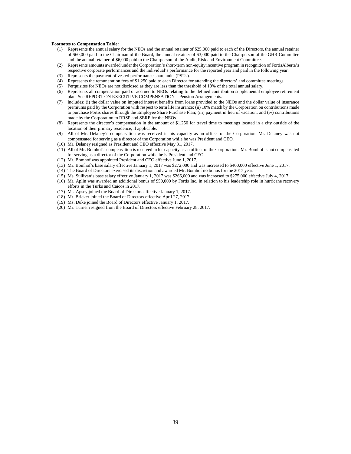#### **Footnotes to Compensation Table:**

- (1) Represents the annual salary for the NEOs and the annual retainer of \$25,000 paid to each of the Directors, the annual retainer of \$60,000 paid to the Chairman of the Board, the annual retainer of \$3,000 paid to the Chairperson of the GHR Committee and the annual retainer of \$6,000 paid to the Chairperson of the Audit, Risk and Environment Committee.
- (2) Represents amounts awarded under the Corporation's short-term non-equity incentive program in recognition of FortisAlberta's respective corporate performances and the individual's performance for the reported year and paid in the following year.
- (3) Represents the payment of vested performance share units (PSUs).
- (4) Represents the remuneration fees of \$1,250 paid to each Director for attending the directors' and committee meetings.
- (5) Perquisites for NEOs are not disclosed as they are less than the threshold of 10% of the total annual salary.
- (6) Represents all compensation paid or accrued to NEOs relating to the defined contribution supplemental employee retirement plan. See REPORT ON EXECUTIVE COMPENSATION – Pension Arrangements.
- (7) Includes: (i) the dollar value on imputed interest benefits from loans provided to the NEOs and the dollar value of insurance premiums paid by the Corporation with respect to term life insurance; (ii) 10% match by the Corporation on contributions made to purchase Fortis shares through the Employee Share Purchase Plan; (iii) payment in lieu of vacation; and (iv) contributions made by the Corporation to RRSP and SERP for the NEOs.
- (8) Represents the director's compensation in the amount of \$1,250 for travel time to meetings located in a city outside of the location of their primary residence, if applicable.
- (9) All of Mr. Delaney's compensation was received in his capacity as an officer of the Corporation. Mr. Delaney was not compensated for serving as a director of the Corporation while he was President and CEO.
- (10) Mr. Delaney resigned as President and CEO effective May 31, 2017.
- (11) All of Mr. Bomhof's compensation is received in his capacity as an officer of the Corporation. Mr. Bomhof is not compensated for serving as a director of the Corporation while he is President and CEO.
- (12) Mr. Bomhof was appointed President and CEO effective June 1, 2017.
- (13) Mr. Bomhof's base salary effective January 1, 2017 was \$272,000 and was increased to \$400,000 effective June 1, 2017.
- (14) The Board of Directors exercised its discretion and awarded Mr. Bomhof no bonus for the 2017 year.
- (15) Ms. Sullivan's base salary effective January 1, 2017 was \$266,000 and was increased to \$275,000 effective July 4, 2017.
- (16) Mr. Aplin was awarded an additional bonus of \$50,000 by Fortis Inc. in relation to his leadership role in hurricane recovery efforts in the Turks and Caicos in 2017.
- (17) Ms. Apsey joined the Board of Directors effective January 1, 2017.
- (18) Mr. Bricker joined the Board of Directors effective April 27, 2017.
- (19) Ms. Duke joined the Board of Directors effective January 1, 2017.
- (20) Mr. Turner resigned from the Board of Directors effective February 28, 2017.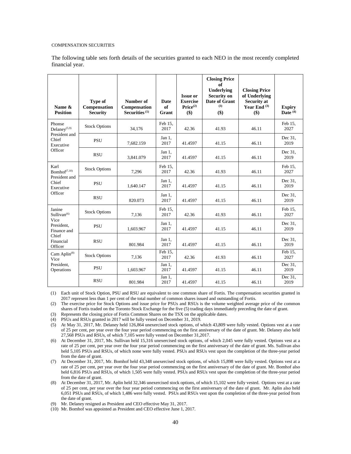#### <span id="page-39-0"></span>COMPENSATION SECURITIES

The following table sets forth details of the securities granted to each NEO in the most recently completed financial year.

| Name &<br><b>Position</b>                                          | Type of<br>Compensation<br><b>Security</b> | Number of<br>Compensation<br>Securities $(1)$ | <b>Date</b><br>of<br>Grant | <b>Issue or</b><br><b>Exercise</b><br>Price <sup>(2)</sup><br>\$) | <b>Closing Price</b><br>of<br>Underlying<br><b>Security on</b><br>Date of Grant<br>(3)<br>\$) | <b>Closing Price</b><br>of Underlying<br><b>Security at</b><br>Year End $(3)$<br>\$) | <b>Expiry</b><br>Date <sup>(4)</sup> |
|--------------------------------------------------------------------|--------------------------------------------|-----------------------------------------------|----------------------------|-------------------------------------------------------------------|-----------------------------------------------------------------------------------------------|--------------------------------------------------------------------------------------|--------------------------------------|
| Phonse<br>Delaney $(5,9)$                                          | <b>Stock Options</b>                       | 34,176                                        | Feb 15,<br>2017            | 42.36                                                             | 41.93                                                                                         | 46.11                                                                                | Feb 15,<br>2027                      |
| President and<br>Chief<br>Executive                                | <b>PSU</b>                                 | 7,682.159                                     | Jan 1,<br>2017             | 41.4597                                                           | 41.15                                                                                         | 46.11                                                                                | Dec 31.<br>2019                      |
| Officer                                                            | <b>RSU</b>                                 | 3,841.079                                     | Jan 1,<br>2017             | 41.4597                                                           | 41.15                                                                                         | 46.11                                                                                | Dec 31.<br>2019                      |
| Karl<br>Bomhof <sup>(7,10)</sup>                                   | <b>Stock Options</b>                       | 7,296                                         | Feb 15,<br>2017            | 42.36                                                             | 41.93                                                                                         | 46.11                                                                                | Feb 15,<br>2027                      |
| President and<br>Chief<br>Executive<br>Officer                     | <b>PSU</b>                                 | 1,640.147                                     | Jan 1,<br>2017             | 41.4597                                                           | 41.15                                                                                         | 46.11                                                                                | Dec 31.<br>2019                      |
|                                                                    | <b>RSU</b>                                 | 820.073                                       | Jan $1$ .<br>2017          | 41.4597                                                           | 41.15                                                                                         | 46.11                                                                                | Dec 31.<br>2019                      |
| Janine<br>Sullivan <sup>(6)</sup>                                  | <b>Stock Options</b>                       | 7.136                                         | Feb 15.<br>2017            | 42.36                                                             | 41.93                                                                                         | 46.11                                                                                | Feb 15,<br>2027                      |
| Vice<br>President.<br>Finance and<br>Chief<br>Financial<br>Officer | <b>PSU</b>                                 | 1,603.967                                     | Jan $1$ .<br>2017          | 41.4597                                                           | 41.15                                                                                         | 46.11                                                                                | Dec 31.<br>2019                      |
|                                                                    | <b>RSU</b>                                 | 801.984                                       | Jan 1,<br>2017             | 41.4597                                                           | 41.15                                                                                         | 46.11                                                                                | Dec 31.<br>2019                      |
| Cam Aplin <sup>(8)</sup><br>Vice<br>President.<br>Operations       | <b>Stock Options</b>                       | 7,136                                         | Feb 15,<br>2017            | 42.36                                                             | 41.93                                                                                         | 46.11                                                                                | Feb 15,<br>2027                      |
|                                                                    | <b>PSU</b>                                 | 1,603.967                                     | Jan 1,<br>2017             | 41.4597                                                           | 41.15                                                                                         | 46.11                                                                                | Dec 31,<br>2019                      |
|                                                                    | <b>RSU</b>                                 | 801.984                                       | Jan 1,<br>2017             | 41.4597                                                           | 41.15                                                                                         | 46.11                                                                                | Dec 31,<br>2019                      |

(1) Each unit of Stock Option, PSU and RSU are equivalent to one common share of Fortis. The compensation securities granted in 2017 represent less than 1 per cent of the total number of common shares issued and outstanding of Fortis.

(2) The exercise price for Stock Options and issue price for PSUs and RSUs is the volume weighted average price of the common shares of Fortis traded on the Toronto Stock Exchange for the five (5) trading days immediately preceding the date of grant.

(3) Represents the closing price of Fortis Common Shares on the TSX on the applicable dates.

(4) PSUs and RSUs granted in 2017 will be fully vested on December 31, 2019.

(5) At May 31, 2017, Mr. Delaney held 126,864 unexercised stock options, of which 43,809 were fully vested. Options vest at a rate of 25 per cent, per year over the four year period commencing on the first anniversary of the date of grant. Mr. Delaney also held 27,568 PSUs and RSUs, of which 7,105 were fully vested on December 31,2017.

(6) At December 31, 2017, Ms. Sullivan held 15,316 unexercised stock options, of which 2,045 were fully vested. Options vest at a rate of 25 per cent, per year over the four year period commencing on the first anniversary of the date of grant. Ms. Sullivan also held 5,105 PSUs and RSUs, of which none were fully vested. PSUs and RSUs vest upon the completion of the three-year period from the date of grant.

(7) At December 31, 2017, Mr. Bomhof held 43,348 unexercised stock options, of which 15,898 were fully vested. Options vest at a rate of 25 per cent, per year over the four year period commencing on the first anniversary of the date of grant. Mr. Bomhof also held 6,816 PSUs and RSUs, of which 1,505 were fully vested. PSUs and RSUs vest upon the completion of the three-year period from the date of grant.

(8) At December 31, 2017, Mr. Aplin held 32,346 unexercised stock options, of which 15,102 were fully vested. Options vest at a rate of 25 per cent, per year over the four year period commencing on the first anniversary of the date of grant. Mr. Aplin also held 6,051 PSUs and RSUs, of which 1,486 were fully vested. PSUs and RSUs vest upon the completion of the three-year period from the date of grant.

(9) Mr. Delaney resigned as President and CEO effective May 31, 2017.

(10) Mr. Bomhof was appointed as President and CEO effective June 1, 2017.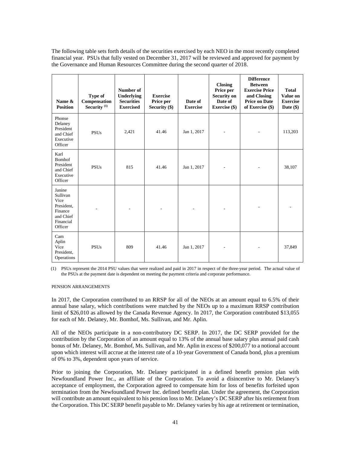The following table sets forth details of the securities exercised by each NEO in the most recently completed financial year. PSUs that fully vested on December 31, 2017 will be reviewed and approved for payment by the Governance and Human Resources Committee during the second quarter of 2018.

| Name &<br><b>Position</b>                                                                | Type of<br>Compensation<br>Security <sup>(1)</sup> | Number of<br>Underlying<br><b>Securities</b><br><b>Exercised</b> | <b>Exercise</b><br>Price per<br>Security (\$) | Date of<br><b>Exercise</b> | <b>Closing</b><br>Price per<br><b>Security on</b><br>Date of<br><b>Exercise</b> (\$) | <b>Difference</b><br><b>Between</b><br><b>Exercise Price</b><br>and Closing<br><b>Price on Date</b><br>of Exercise (\$) | <b>Total</b><br>Value on<br><b>Exercise</b><br>Date $(\$)$ |
|------------------------------------------------------------------------------------------|----------------------------------------------------|------------------------------------------------------------------|-----------------------------------------------|----------------------------|--------------------------------------------------------------------------------------|-------------------------------------------------------------------------------------------------------------------------|------------------------------------------------------------|
| Phonse<br>Delaney<br>President<br>and Chief<br>Executive<br>Officer                      | <b>PSUs</b>                                        | 2,421                                                            | 41.46                                         | Jan 1, 2017                |                                                                                      |                                                                                                                         | 113,203                                                    |
| Karl<br><b>Bomhof</b><br>President<br>and Chief<br>Executive<br>Officer                  | <b>PSUs</b>                                        | 815                                                              | 41.46                                         | Jan 1, 2017                |                                                                                      |                                                                                                                         | 38,107                                                     |
| Janine<br>Sullivan<br>Vice<br>President.<br>Finance<br>and Chief<br>Financial<br>Officer |                                                    |                                                                  |                                               |                            |                                                                                      |                                                                                                                         |                                                            |
| Cam<br>Aplin<br>Vice<br>President,<br>Operations                                         | <b>PSUs</b>                                        | 809                                                              | 41.46                                         | Jan 1, 2017                |                                                                                      |                                                                                                                         | 37,849                                                     |

(1) PSUs represent the 2014 PSU values that were realized and paid in 2017 in respect of the three-year period. The actual value of the PSUs at the payment date is dependent on meeting the payment criteria and corporate performance.

### <span id="page-40-0"></span>PENSION ARRANGEMENTS

In 2017, the Corporation contributed to an RRSP for all of the NEOs at an amount equal to 6.5% of their annual base salary, which contributions were matched by the NEOs up to a maximum RRSP contribution limit of \$26,010 as allowed by the Canada Revenue Agency. In 2017, the Corporation contributed \$13,055 for each of Mr. Delaney, Mr. Bomhof, Ms. Sullivan, and Mr. Aplin.

All of the NEOs participate in a non-contributory DC SERP. In 2017, the DC SERP provided for the contribution by the Corporation of an amount equal to 13% of the annual base salary plus annual paid cash bonus of Mr. Delaney, Mr. Bomhof, Ms. Sullivan, and Mr. Aplin in excess of \$200,077 to a notional account upon which interest will accrue at the interest rate of a 10-year Government of Canada bond, plus a premium of 0% to 3%, dependent upon years of service.

Prior to joining the Corporation, Mr. Delaney participated in a defined benefit pension plan with Newfoundland Power Inc., an affiliate of the Corporation. To avoid a disincentive to Mr. Delaney's acceptance of employment, the Corporation agreed to compensate him for loss of benefits forfeited upon termination from the Newfoundland Power Inc. defined benefit plan. Under the agreement, the Corporation will contribute an amount equivalent to his pension loss to Mr. Delaney's DC SERP after his retirement from the Corporation. This DC SERP benefit payable to Mr. Delaney varies by his age at retirement or termination,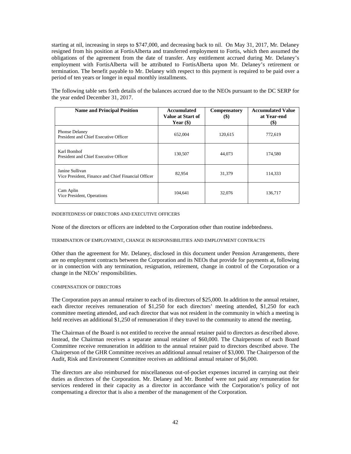starting at nil, increasing in steps to \$747,000, and decreasing back to nil. On May 31, 2017, Mr. Delaney resigned from his position at FortisAlberta and transferred employment to Fortis, which then assumed the obligations of the agreement from the date of transfer. Any entitlement accrued during Mr. Delaney's employment with FortisAlberta will be attributed to FortisAlberta upon Mr. Delaney's retirement or termination. The benefit payable to Mr. Delaney with respect to this payment is required to be paid over a period of ten years or longer in equal monthly installments.

The following table sets forth details of the balances accrued due to the NEOs pursuant to the DC SERP for the year ended December 31, 2017.

| <b>Name and Principal Position</b>                                     | Accumulated<br>Value at Start of<br>Year $(\$)$ | <b>Compensatory</b><br>$\left( \mathbb{S}\right)$ | <b>Accumulated Value</b><br>at Year-end<br>(\$) |
|------------------------------------------------------------------------|-------------------------------------------------|---------------------------------------------------|-------------------------------------------------|
| Phonse Delaney<br>President and Chief Executive Officer                | 652,004                                         | 120,615                                           | 772,619                                         |
| Karl Bomhof<br>President and Chief Executive Officer                   | 130,507                                         | 44,073                                            | 174.580                                         |
| Janine Sullivan<br>Vice President, Finance and Chief Financial Officer | 82,954                                          | 31,379                                            | 114,333                                         |
| Cam Aplin<br>Vice President, Operations                                | 104,641                                         | 32,076                                            | 136,717                                         |

<span id="page-41-0"></span>INDEBTEDNESS OF DIRECTORS AND EXECUTIVE OFFICERS

None of the directors or officers are indebted to the Corporation other than routine indebtedness.

#### <span id="page-41-1"></span>TERMINATION OF EMPLOYMENT, CHANGE IN RESPONSIBILITIES AND EMPLOYMENT CONTRACTS

Other than the agreement for Mr. Delaney, disclosed in this document under Pension Arrangements, there are no employment contracts between the Corporation and its NEOs that provide for payments at, following or in connection with any termination, resignation, retirement, change in control of the Corporation or a change in the NEOs' responsibilities.

# <span id="page-41-2"></span>COMPENSATION OF DIRECTORS

The Corporation pays an annual retainer to each of its directors of \$25,000. In addition to the annual retainer, each director receives remuneration of \$1,250 for each directors' meeting attended, \$1,250 for each committee meeting attended, and each director that was not resident in the community in which a meeting is held receives an additional \$1,250 of remuneration if they travel to the community to attend the meeting.

The Chairman of the Board is not entitled to receive the annual retainer paid to directors as described above. Instead, the Chairman receives a separate annual retainer of \$60,000. The Chairpersons of each Board Committee receive remuneration in addition to the annual retainer paid to directors described above. The Chairperson of the GHR Committee receives an additional annual retainer of \$3,000. The Chairperson of the Audit, Risk and Environment Committee receives an additional annual retainer of \$6,000.

The directors are also reimbursed for miscellaneous out-of-pocket expenses incurred in carrying out their duties as directors of the Corporation. Mr. Delaney and Mr. Bomhof were not paid any remuneration for services rendered in their capacity as a director in accordance with the Corporation's policy of not compensating a director that is also a member of the management of the Corporation.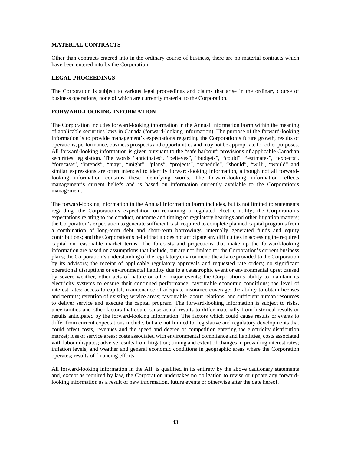# <span id="page-42-0"></span>**MATERIAL CONTRACTS**

Other than contracts entered into in the ordinary course of business, there are no material contracts which have been entered into by the Corporation.

# <span id="page-42-1"></span>**LEGAL PROCEEDINGS**

The Corporation is subject to various legal proceedings and claims that arise in the ordinary course of business operations, none of which are currently material to the Corporation.

# <span id="page-42-2"></span>**FORWARD-LOOKING INFORMATION**

The Corporation includes forward-looking information in the Annual Information Form within the meaning of applicable securities laws in Canada (forward-looking information). The purpose of the forward-looking information is to provide management's expectations regarding the Corporation's future growth, results of operations, performance, business prospects and opportunities and may not be appropriate for other purposes. All forward-looking information is given pursuant to the "safe harbour" provisions of applicable Canadian securities legislation. The words "anticipates", "believes", "budgets", "could", "estimates", "expects", "forecasts", "intends", "may", "might", "plans", "projects", "schedule", "should", "will", "would" and similar expressions are often intended to identify forward-looking information, although not all forwardlooking information contains these identifying words. The forward-looking information reflects management's current beliefs and is based on information currently available to the Corporation's management.

The forward-looking information in the Annual Information Form includes, but is not limited to statements regarding: the Corporation's expectation on remaining a regulated electric utility; the Corporation's expectations relating to the conduct, outcome and timing of regulatory hearings and other litigation matters; the Corporation's expectation to generate sufficient cash required to complete planned capital programs from a combination of long-term debt and short-term borrowings, internally generated funds and equity contributions; and the Corporation's belief that it does not anticipate any difficulties in accessing the required capital on reasonable market terms. The forecasts and projections that make up the forward-looking information are based on assumptions that include, but are not limited to: the Corporation's current business plans; the Corporation's understanding of the regulatory environment; the advice provided to the Corporation by its advisors; the receipt of applicable regulatory approvals and requested rate orders; no significant operational disruptions or environmental liability due to a catastrophic event or environmental upset caused by severe weather, other acts of nature or other major events; the Corporation's ability to maintain its electricity systems to ensure their continued performance; favourable economic conditions; the level of interest rates; access to capital; maintenance of adequate insurance coverage; the ability to obtain licenses and permits; retention of existing service areas; favourable labour relations; and sufficient human resources to deliver service and execute the capital program. The forward-looking information is subject to risks, uncertainties and other factors that could cause actual results to differ materially from historical results or results anticipated by the forward-looking information. The factors which could cause results or events to differ from current expectations include, but are not limited to: legislative and regulatory developments that could affect costs, revenues and the speed and degree of competition entering the electricity distribution market; loss of service areas; costs associated with environmental compliance and liabilities; costs associated with labour disputes; adverse results from litigation; timing and extent of changes in prevailing interest rates; inflation levels; and weather and general economic conditions in geographic areas where the Corporation operates; results of financing efforts.

All forward-looking information in the AIF is qualified in its entirety by the above cautionary statements and, except as required by law, the Corporation undertakes no obligation to revise or update any forwardlooking information as a result of new information, future events or otherwise after the date hereof.